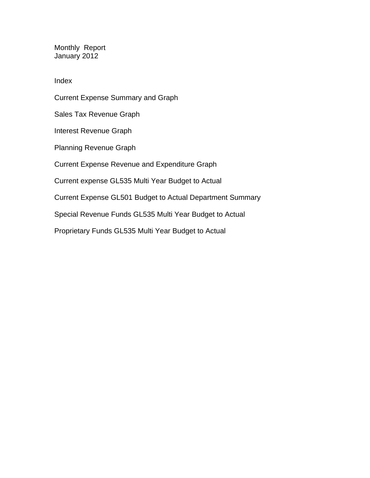Monthly Report January 2012

Index

Current Expense Summary and Graph Sales Tax Revenue Graph Interest Revenue Graph Planning Revenue Graph Current Expense Revenue and Expenditure Graph Current expense GL535 Multi Year Budget to Actual Current Expense GL501 Budget to Actual Department Summary Special Revenue Funds GL535 Multi Year Budget to Actual

Proprietary Funds GL535 Multi Year Budget to Actual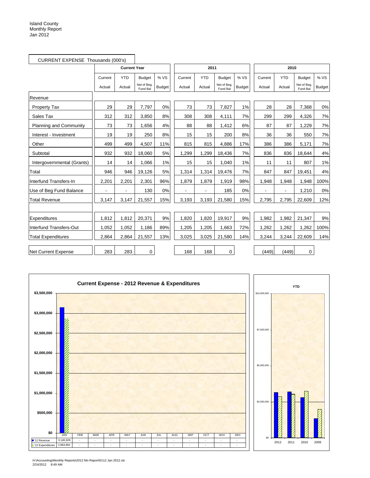| CURRENT EXPENSE Thousands (000's) |         |                     |                         |               |         |            |                        |               |         |            |                         |               |
|-----------------------------------|---------|---------------------|-------------------------|---------------|---------|------------|------------------------|---------------|---------|------------|-------------------------|---------------|
|                                   |         | <b>Current Year</b> |                         |               |         | 2011       |                        |               |         | 2010       |                         |               |
|                                   | Current | <b>YTD</b>          | <b>Budget</b>           | % VS          | Current | <b>YTD</b> | <b>Budget</b>          | % VS          | Current | <b>YTD</b> | <b>Budget</b>           | % VS          |
|                                   | Actual  | Actual              | Net of Beg.<br>Fund Bal | <b>Budget</b> | Actual  | Actual     | Net of Beg<br>Fund Bal | <b>Budget</b> | Actual  | Actual     | Net of Beg.<br>Fund Bal | <b>Budget</b> |
| Revenue                           |         |                     |                         |               |         |            |                        |               |         |            |                         |               |
| <b>Property Tax</b>               | 29      | 29                  | 7,797                   | 0%            | 73      | 73         | 7,827                  | 1%            | 28      | 28         | 7,368                   | 0%            |
| Sales Tax                         | 312     | 312                 | 3,850                   | 8%            | 308     | 308        | 4,111                  | 7%            | 299     | 299        | 4,326                   | 7%            |
| <b>Planning and Community</b>     | 73      | 73                  | 1,656                   | 4%            | 88      | 88         | 1,412                  | 6%            | 87      | 87         | 1,229                   | 7%            |
| Interest - Investment             | 19      | 19                  | 250                     | 8%            | 15      | 15         | 200                    | 8%            | 36      | 36         | 550                     | 7%            |
| Other                             | 499     | 499                 | 4,507                   | 11%           | 815     | 815        | 4,886                  | 17%           | 386     | 386        | 5,171                   | 7%            |
| Subtotal                          | 932     | 932                 | 18,060                  | 5%            | 1,299   | 1,299      | 18,436                 | 7%            | 836     | 836        | 18,644                  | 4%            |
| Intergovernmental (Grants)        | 14      | 14                  | 1,066                   | 1%            | 15      | 15         | 1,040                  | 1%            | 11      | 11         | 807                     | 1%            |
| Total                             | 946     | 946                 | 19,126                  | 5%            | 1,314   | 1,314      | 19,476                 | 7%            | 847     | 847        | 19,451                  | 4%            |
| Interfund Transfers-In            | 2,201   | 2,201               | 2,301                   | 96%           | 1,879   | 1,879      | 1,919                  | 98%           | 1,948   | 1,948      | 1,948                   | 100%          |
| Use of Beg Fund Balance           | ä,      | ÷.                  | 130                     | 0%            |         |            | 185                    | 0%            | ä,      | ä,         | 1,210                   | 0%            |
| <b>Total Revenue</b>              | 3,147   | 3,147               | 21,557                  | 15%           | 3,193   | 3,193      | 21,580                 | 15%           | 2,795   | 2,795      | 22,609                  | 12%           |
|                                   |         |                     |                         |               |         |            |                        |               |         |            |                         |               |
| Expenditures                      | 1,812   | 1,812               | 20,371                  | 9%            | 1,820   | 1,820      | 19,917                 | 9%            | 1,982   | 1,982      | 21,347                  | 9%            |
| Interfund Transfers-Out           | 1,052   | 1,052               | 1,186                   | 89%           | 1,205   | 1,205      | 1,663                  | 72%           | 1,262   | 1,262      | 1,262                   | 100%          |
| <b>Total Expenditures</b>         | 2,864   | 2,864               | 21,557                  | 13%           | 3,025   | 3,025      | 21,580                 | 14%           | 3,244   | 3,244      | 22,609                  | 14%           |
| Net Current Expense               | 283     | 283                 | 0                       |               | 168     | 168        | 0                      |               | (449)   | (449)      | 0                       |               |

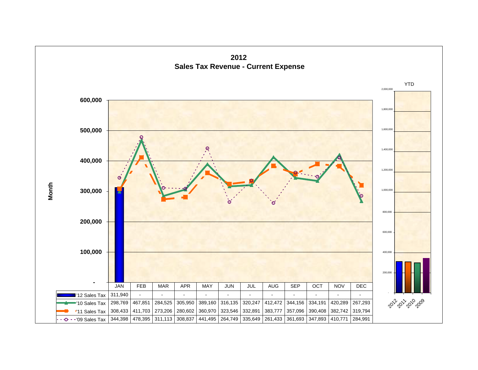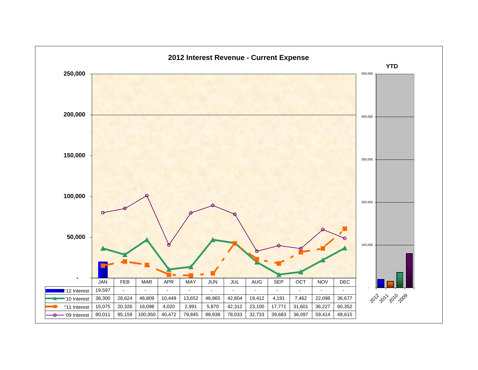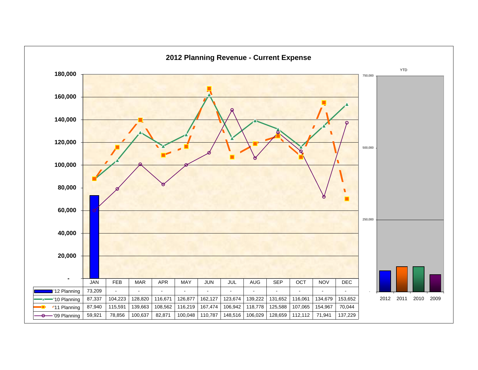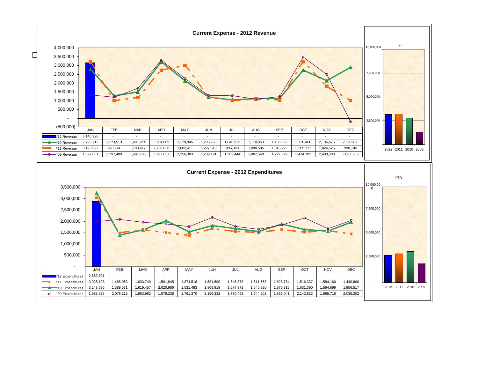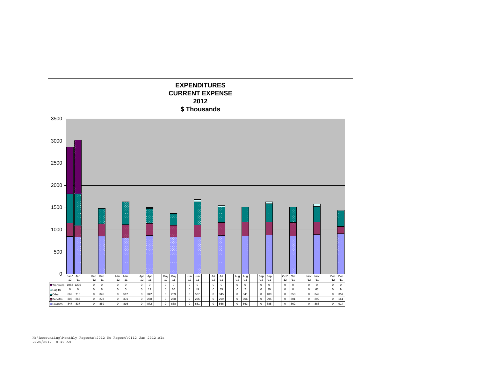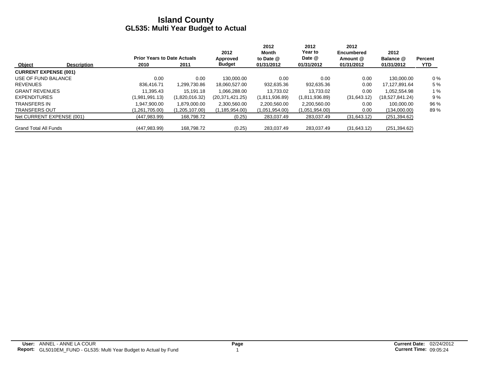|                              |                    |                                    |                | 2012              | 2012<br>Month  | 2012<br>Year to | 2012<br>Encumbered | 2012            |                |
|------------------------------|--------------------|------------------------------------|----------------|-------------------|----------------|-----------------|--------------------|-----------------|----------------|
|                              |                    | <b>Prior Years to Date Actuals</b> |                | Approved          | to Date $@$    | Date @          | Amount @           | Balance @       | <b>Percent</b> |
| Object                       | <b>Description</b> | 2010                               | 2011           | <b>Budget</b>     | 01/31/2012     | 01/31/2012      | 01/31/2012         | 01/31/2012      | <b>YTD</b>     |
| <b>CURRENT EXPENSE (001)</b> |                    |                                    |                |                   |                |                 |                    |                 |                |
| USE OF FUND BALANCE          |                    | 0.00                               | 0.00           | 130.000.00        | 0.00           | 0.00            | 0.00               | 130.000.00      | $0\%$          |
| <b>REVENUES</b>              |                    | 836.416.71                         | 1.299.730.86   | 18,060,527.00     | 932,635.36     | 932,635.36      | 0.00               | 17.127.891.64   | 5 %            |
| <b>GRANT REVENUES</b>        |                    | 11.395.43                          | 15.191.18      | 1.066.288.00      | 13.733.02      | 13.733.02       | 0.00               | 1,052,554.98    | 1%             |
| <b>EXPENDITURES</b>          |                    | (1,981,991.13)                     | (1,820,016.32) | (20, 371, 421.25) | (1,811,936.89) | (1,811,936.89)  | (31,643.12)        | (18,527,841.24) | 9%             |
| <b>TRANSFERS IN</b>          |                    | 1.947.900.00                       | 1.879.000.00   | 2,300,560.00      | 2,200,560.00   | 2,200,560.00    | 0.00               | 100.000.00      | 96 %           |
| <b>TRANSFERS OUT</b>         |                    | (1,261,705.00)                     | (1,205,107.00) | (1, 185, 954.00)  | (1,051,954.00) | (1,051,954.00)  | 0.00               | (134,000.00)    | 89%            |
| Net CURRENT EXPENSE (001)    |                    | (447, 983.99)                      | 168,798.72     | (0.25)            | 283,037.49     | 283,037.49      | (31,643.12)        | (251, 394.62)   |                |
| <b>Grand Total All Funds</b> |                    | (447, 983.99)                      | 168,798.72     | (0.25)            | 283,037.49     | 283,037.49      | (31,643.12)        | (251, 394.62)   |                |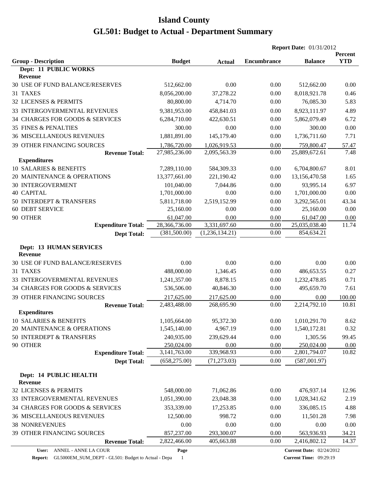|                                                  |               |                | <b>Report Date: 01/31/2012</b> |                                 |                       |
|--------------------------------------------------|---------------|----------------|--------------------------------|---------------------------------|-----------------------|
| <b>Group - Description</b>                       | <b>Budget</b> | <b>Actual</b>  | <b>Encumbrance</b>             | <b>Balance</b>                  | Percent<br><b>YTD</b> |
| Dept: 11 PUBLIC WORKS                            |               |                |                                |                                 |                       |
| Revenue                                          |               |                |                                |                                 |                       |
| 30 USE OF FUND BALANCE/RESERVES                  | 512,662.00    | 0.00           | 0.00                           | 512,662.00                      | 0.00                  |
| 31 TAXES                                         | 8,056,200.00  | 37,278.22      | 0.00                           | 8,018,921.78                    | 0.46                  |
| 32 LICENSES & PERMITS                            | 80,800.00     | 4,714.70       | 0.00                           | 76,085.30                       | 5.83                  |
| <b>33 INTERGOVERMENTAL REVENUES</b>              | 9,381,953.00  | 458,841.03     | 0.00                           | 8,923,111.97                    | 4.89                  |
| 34 CHARGES FOR GOODS & SERVICES                  | 6,284,710.00  | 422,630.51     | 0.00                           | 5,862,079.49                    | 6.72                  |
| <b>35 FINES &amp; PENALTIES</b>                  | 300.00        | 0.00           | 0.00                           | 300.00                          | 0.00                  |
| <b>36 MISCELLANEOUS REVENUES</b>                 | 1,881,891.00  | 145,179.40     | 0.00                           | 1,736,711.60                    | 7.71                  |
| 39 OTHER FINANCING SOURCES                       | 1,786,720.00  | 1,026,919.53   | 0.00                           | 759,800.47                      | 57.47                 |
| <b>Revenue Total:</b>                            | 27,985,236.00 | 2,095,563.39   | 0.00                           | 25,889,672.61                   | 7.48                  |
| <b>Expenditures</b>                              |               |                |                                |                                 |                       |
| 10 SALARIES & BENEFITS                           | 7,289,110.00  | 584,309.33     | 0.00                           | 6,704,800.67                    | 8.01                  |
| 20 MAINTENANCE & OPERATIONS                      | 13,377,661.00 | 221,190.42     | 0.00                           | 13,156,470.58                   | 1.65                  |
| <b>30 INTERGOVERMENT</b>                         | 101,040.00    | 7,044.86       | 0.00                           | 93,995.14                       | 6.97                  |
| <b>40 CAPITAL</b>                                | 1,701,000.00  | 0.00           | 0.00                           | 1,701,000.00                    | 0.00                  |
| 50 INTERDEPT & TRANSFERS                         | 5,811,718.00  | 2,519,152.99   | 0.00                           | 3,292,565.01                    | 43.34                 |
| <b>60 DEBT SERVICE</b>                           | 25,160.00     | 0.00           | 0.00                           | 25,160.00                       | 0.00                  |
| 90 OTHER                                         | 61,047.00     | 0.00           | 0.00                           | 61,047.00                       | 0.00                  |
| <b>Expenditure Total:</b>                        | 28,366,736.00 | 3,331,697.60   | 0.00                           | 25,035,038.40                   | 11.74                 |
| <b>Dept Total:</b>                               | (381, 500.00) | (1,236,134.21) | 0.00                           | 854,634.21                      |                       |
|                                                  |               |                |                                |                                 |                       |
| <b>Dept: 13 HUMAN SERVICES</b><br><b>Revenue</b> |               |                |                                |                                 |                       |
| 30 USE OF FUND BALANCE/RESERVES                  | 0.00          | 0.00           | 0.00                           | 0.00                            | 0.00                  |
| 31 TAXES                                         | 488,000.00    | 1,346.45       | 0.00                           | 486,653.55                      | 0.27                  |
| 33 INTERGOVERMENTAL REVENUES                     | 1,241,357.00  | 8,878.15       | 0.00                           | 1,232,478.85                    | 0.71                  |
| 34 CHARGES FOR GOODS & SERVICES                  | 536,506.00    | 40,846.30      | 0.00                           | 495,659.70                      | 7.61                  |
| <b>39 OTHER FINANCING SOURCES</b>                | 217,625.00    | 217,625.00     | 0.00                           | 0.00                            | 100.00                |
| <b>Revenue Total:</b>                            | 2,483,488.00  | 268,695.90     | 0.00                           | 2,214,792.10                    | 10.81                 |
| <b>Expenditures</b>                              |               |                |                                |                                 |                       |
| 10 SALARIES & BENEFITS                           | 1,105,664.00  | 95,372.30      | 0.00                           | 1,010,291.70                    | 8.62                  |
| 20 MAINTENANCE & OPERATIONS                      | 1,545,140.00  | 4,967.19       | 0.00                           | 1,540,172.81                    | 0.32                  |
| 50 INTERDEPT & TRANSFERS                         | 240,935.00    | 239,629.44     | 0.00                           | 1,305.56                        | 99.45                 |
| 90 OTHER                                         | 250,024.00    | 0.00           | 0.00                           | 250,024.00                      | 0.00                  |
| <b>Expenditure Total:</b>                        | 3,141,763.00  | 339,968.93     | 0.00                           | 2,801,794.07                    | 10.82                 |
| <b>Dept Total:</b>                               | (658, 275.00) | (71, 273.03)   | 0.00                           | (587,001.97)                    |                       |
| Dept: 14 PUBLIC HEALTH                           |               |                |                                |                                 |                       |
| <b>Revenue</b>                                   |               |                |                                |                                 |                       |
| 32 LICENSES & PERMITS                            | 548,000.00    | 71,062.86      | 0.00                           | 476,937.14                      | 12.96                 |
| 33 INTERGOVERMENTAL REVENUES                     | 1,051,390.00  | 23,048.38      | 0.00                           | 1,028,341.62                    | 2.19                  |
| 34 CHARGES FOR GOODS & SERVICES                  | 353,339.00    | 17,253.85      | 0.00                           | 336,085.15                      | 4.88                  |
| <b>36 MISCELLANEOUS REVENUES</b>                 | 12,500.00     | 998.72         | 0.00                           | 11,501.28                       | 7.98                  |
| <b>38 NONREVENUES</b>                            | 0.00          | 0.00           | 0.00                           | 0.00                            | 0.00                  |
| 39 OTHER FINANCING SOURCES                       | 857,237.00    | 293,300.07     | 0.00                           | 563,936.93                      | 34.21                 |
| <b>Revenue Total:</b>                            | 2,822,466.00  | 405,663.88     | 0.00                           | 2,416,802.12                    | 14.37                 |
| ANNEL - ANNE LA COUR<br>User:                    | Page          |                |                                | <b>Current Date: 02/24/2012</b> |                       |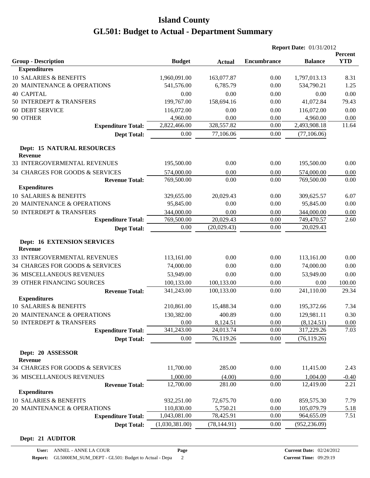|                                                         |                    |               | <b>Report Date: 01/31/2012</b> |                           |               |  |
|---------------------------------------------------------|--------------------|---------------|--------------------------------|---------------------------|---------------|--|
|                                                         |                    |               |                                |                           | Percent       |  |
| <b>Group - Description</b>                              | <b>Budget</b>      | <b>Actual</b> | <b>Encumbrance</b>             | <b>Balance</b>            | <b>YTD</b>    |  |
| <b>Expenditures</b>                                     |                    |               |                                |                           |               |  |
| 10 SALARIES & BENEFITS                                  | 1,960,091.00       | 163,077.87    | 0.00                           | 1,797,013.13              | 8.31          |  |
| 20 MAINTENANCE & OPERATIONS                             | 541,576.00         | 6,785.79      | 0.00                           | 534,790.21                | 1.25          |  |
| <b>40 CAPITAL</b>                                       | 0.00               | 0.00          | 0.00                           | 0.00                      | 0.00          |  |
| 50 INTERDEPT & TRANSFERS                                | 199,767.00         | 158,694.16    | 0.00                           | 41,072.84                 | 79.43         |  |
| <b>60 DEBT SERVICE</b>                                  | 116,072.00         | 0.00          | 0.00                           | 116,072.00                | 0.00          |  |
| 90 OTHER                                                | 4,960.00           | 0.00          | 0.00                           | 4,960.00<br>2,493,908.18  | 0.00<br>11.64 |  |
| <b>Expenditure Total:</b>                               | 2,822,466.00       | 328,557.82    | 0.00                           |                           |               |  |
| <b>Dept Total:</b>                                      | 0.00               | 77,106.06     | 0.00                           | (77, 106.06)              |               |  |
| <b>Dept: 15 NATURAL RESOURCES</b><br><b>Revenue</b>     |                    |               |                                |                           |               |  |
| 33 INTERGOVERMENTAL REVENUES                            | 195,500.00         | 0.00          | 0.00                           | 195,500.00                | 0.00          |  |
| 34 CHARGES FOR GOODS & SERVICES                         | 574,000.00         | 0.00          | 0.00                           | 574,000.00                | 0.00          |  |
| <b>Revenue Total:</b>                                   | 769,500.00         | 0.00          | 0.00                           | 769,500.00                | 0.00          |  |
| <b>Expenditures</b>                                     |                    |               |                                |                           |               |  |
| 10 SALARIES & BENEFITS                                  | 329,655.00         | 20,029.43     | 0.00                           | 309,625.57                | 6.07          |  |
| 20 MAINTENANCE & OPERATIONS                             | 95,845.00          | 0.00          | 0.00                           | 95,845.00                 | 0.00          |  |
| 50 INTERDEPT & TRANSFERS                                | 344,000.00         | 0.00          | 0.00                           | 344,000.00                | 0.00          |  |
| <b>Expenditure Total:</b>                               | 769,500.00         | 20,029.43     | 0.00                           | 749,470.57                | 2.60          |  |
| <b>Dept Total:</b>                                      | 0.00               | (20,029.43)   | 0.00                           | 20,029.43                 |               |  |
| <b>Dept: 16 EXTENSION SERVICES</b><br><b>Revenue</b>    |                    |               |                                |                           |               |  |
|                                                         |                    |               |                                |                           |               |  |
| 33 INTERGOVERMENTAL REVENUES                            | 113,161.00         | 0.00          | 0.00                           | 113,161.00                | 0.00          |  |
| 34 CHARGES FOR GOODS & SERVICES                         | 74,000.00          | 0.00          | 0.00                           | 74,000.00                 | 0.00          |  |
| <b>36 MISCELLANEOUS REVENUES</b>                        | 53,949.00          | 0.00          | 0.00                           | 53,949.00                 | 0.00          |  |
| 39 OTHER FINANCING SOURCES                              | 100,133.00         | 100,133.00    | 0.00                           | 0.00                      | 100.00        |  |
| <b>Revenue Total:</b>                                   | 341,243.00         | 100,133.00    | 0.00                           | 241,110.00                | 29.34         |  |
| <b>Expenditures</b><br>10 SALARIES & BENEFITS           | 210,861.00         | 15,488.34     | 0.00                           | 195,372.66                | 7.34          |  |
|                                                         |                    | 400.89        | 0.00                           |                           |               |  |
| 20 MAINTENANCE & OPERATIONS<br>50 INTERDEPT & TRANSFERS | 130,382.00<br>0.00 | 8,124.51      | 0.00                           | 129,981.11<br>(8, 124.51) | 0.30<br>0.00  |  |
| <b>Expenditure Total:</b>                               | 341,243.00         | 24,013.74     | 0.00                           | 317,229.26                | 7.03          |  |
| <b>Dept Total:</b>                                      | 0.00               | 76,119.26     | 0.00                           | (76, 119.26)              |               |  |
|                                                         |                    |               |                                |                           |               |  |
| Dept: 20 ASSESSOR<br>Revenue                            |                    |               |                                |                           |               |  |
| 34 CHARGES FOR GOODS & SERVICES                         | 11,700.00          | 285.00        | 0.00                           | 11,415.00                 | 2.43          |  |
| <b>36 MISCELLANEOUS REVENUES</b>                        | 1,000.00           | (4.00)        | 0.00                           | 1,004.00                  | $-0.40$       |  |
| <b>Revenue Total:</b>                                   | 12,700.00          | 281.00        | 0.00                           | 12,419.00                 | 2.21          |  |
| <b>Expenditures</b>                                     |                    |               |                                |                           |               |  |
| 10 SALARIES & BENEFITS                                  | 932,251.00         | 72,675.70     | 0.00                           | 859,575.30                | 7.79          |  |
| 20 MAINTENANCE & OPERATIONS                             | 110,830.00         | 5,750.21      | 0.00                           | 105,079.79                | <u>5.18</u>   |  |
| <b>Expenditure Total:</b>                               | 1,043,081.00       | 78,425.91     | 0.00                           | 964,655.09                | 7.51          |  |
| <b>Dept Total:</b>                                      | (1,030,381.00)     | (78, 144.91)  | 0.00                           | (952, 236.09)             |               |  |

#### **Dept: 21 AUDITOR**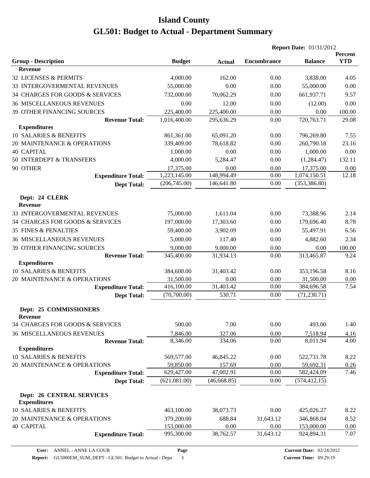|                                  |               |               | <b>Report Date: 01/31/2012</b> |                |                |  |
|----------------------------------|---------------|---------------|--------------------------------|----------------|----------------|--|
|                                  |               |               |                                |                | <b>Percent</b> |  |
| <b>Group - Description</b>       | <b>Budget</b> | <b>Actual</b> | <b>Encumbrance</b>             | <b>Balance</b> | <b>YTD</b>     |  |
| <b>Revenue</b>                   |               |               |                                |                |                |  |
| 32 LICENSES & PERMITS            | 4,000.00      | 162.00        | 0.00                           | 3,838.00       | 4.05           |  |
| 33 INTERGOVERMENTAL REVENUES     | 55,000.00     | 0.00          | 0.00                           | 55,000.00      | 0.00           |  |
| 34 CHARGES FOR GOODS & SERVICES  | 732,000.00    | 70,062.29     | 0.00                           | 661,937.71     | 9.57           |  |
| <b>36 MISCELLANEOUS REVENUES</b> | 0.00          | 12.00         | 0.00                           | (12.00)        | 0.00           |  |
| 39 OTHER FINANCING SOURCES       | 225,400.00    | 225,400.00    | 0.00                           | 0.00           | 100.00         |  |
| <b>Revenue Total:</b>            | 1,016,400.00  | 295,636.29    | 0.00                           | 720,763.71     | 29.08          |  |
| <b>Expenditures</b>              |               |               |                                |                |                |  |
| 10 SALARIES & BENEFITS           | 861,361.00    | 65,091.20     | 0.00                           | 796,269.80     | 7.55           |  |
| 20 MAINTENANCE & OPERATIONS      | 339,409.00    | 78,618.82     | 0.00                           | 260,790.18     | 23.16          |  |
| <b>40 CAPITAL</b>                | 1,000.00      | 0.00          | 0.00                           | 1,000.00       | 0.00           |  |
| 50 INTERDEPT & TRANSFERS         | 4,000.00      | 5,284.47      | 0.00                           | (1,284.47)     | 132.11         |  |
| 90 OTHER                         | 17,375.00     | 0.00          | 0.00                           | 17,375.00      | 0.00           |  |
| <b>Expenditure Total:</b>        | 1,223,145.00  | 148,994.49    | 0.00                           | 1,074,150.51   | 12.18          |  |
| <b>Dept Total:</b>               | (206,745.00)  | 146,641.80    | 0.00                           | (353, 386.80)  |                |  |
| Dept: 24 CLERK                   |               |               |                                |                |                |  |
| Revenue                          |               |               |                                |                |                |  |
| 33 INTERGOVERMENTAL REVENUES     | 75,000.00     | 1,611.04      | 0.00                           | 73,388.96      | 2.14           |  |
| 34 CHARGES FOR GOODS & SERVICES  | 197,000.00    | 17,303.60     | 0.00                           | 179,696.40     | 8.78           |  |
| <b>35 FINES &amp; PENALTIES</b>  | 59,400.00     | 3,902.09      | 0.00                           | 55,497.91      | 6.56           |  |
| <b>36 MISCELLANEOUS REVENUES</b> | 5,000.00      | 117.40        | 0.00                           | 4,882.60       | 2.34           |  |
| 39 OTHER FINANCING SOURCES       | 9,000.00      | 9,000.00      | 0.00                           | 0.00           | 100.00         |  |
| <b>Revenue Total:</b>            | 345,400.00    | 31,934.13     | 0.00                           | 313,465.87     | 9.24           |  |
| <b>Expenditures</b>              |               |               |                                |                |                |  |
| 10 SALARIES & BENEFITS           | 384,600.00    | 31,403.42     | 0.00                           | 353,196.58     | 8.16           |  |
| 20 MAINTENANCE & OPERATIONS      | 31,500.00     | 0.00          | 0.00                           | 31,500.00      | 0.00           |  |
| <b>Expenditure Total:</b>        | 416,100.00    | 31,403.42     | 0.00                           | 384,696.58     | 7.54           |  |
| <b>Dept Total:</b>               | (70,700.00)   | 530.71        | 0.00                           | (71, 230.71)   |                |  |
|                                  |               |               |                                |                |                |  |
| Dept: 25 COMMISSIONERS           |               |               |                                |                |                |  |
| Revenue                          |               |               |                                |                |                |  |
| 34 CHARGES FOR GOODS & SERVICES  | 500.00        | 7.00          | 0.00                           | 493.00         | 1.40           |  |
| <b>36 MISCELLANEOUS REVENUES</b> | 7,846.00      | 327.06        | 0.00                           | 7,518.94       | 4.16           |  |
| <b>Revenue Total:</b>            | 8,346.00      | 334.06        | 0.00                           | 8,011.94       | 4.00           |  |
| <b>Expenditures</b>              |               |               |                                |                |                |  |
| 10 SALARIES & BENEFITS           | 569,577.00    | 46,845.22     | 0.00                           | 522,731.78     | 8.22           |  |
| 20 MAINTENANCE & OPERATIONS      | 59,850.00     | 157.69        | 0.00                           | 59,692.31      | 0.26           |  |
| <b>Expenditure Total:</b>        | 629,427.00    | 47,002.91     | 0.00                           | 582,424.09     | 7.46           |  |
| <b>Dept Total:</b>               | (621,081.00)  | (46, 668.85)  | 0.00                           | (574, 412.15)  |                |  |
| Dept: 26 CENTRAL SERVICES        |               |               |                                |                |                |  |
| <b>Expenditures</b>              |               |               |                                |                |                |  |
| 10 SALARIES & BENEFITS           | 463,100.00    | 38,073.73     | 0.00                           | 425,026.27     | 8.22           |  |
| 20 MAINTENANCE & OPERATIONS      | 379,200.00    | 688.84        | 31,643.12                      | 346,868.04     | 8.52           |  |
| <b>40 CAPITAL</b>                | 153,000.00    | 0.00          | 0.00                           | 153,000.00     | 0.00           |  |
| <b>Expenditure Total:</b>        | 995,300.00    | 38,762.57     | 31,643.12                      | 924,894.31     | 7.07           |  |
|                                  |               |               |                                |                |                |  |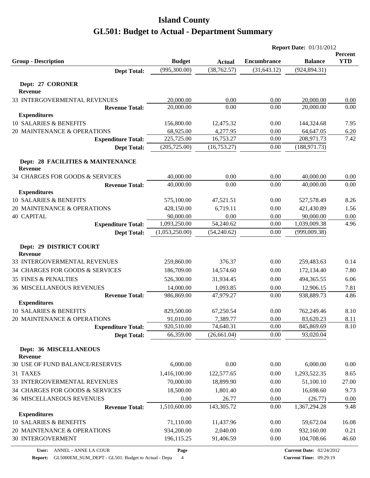|                                                       |                         |                       | <b>Report Date: 01/31/2012</b> |                         |                              |
|-------------------------------------------------------|-------------------------|-----------------------|--------------------------------|-------------------------|------------------------------|
| <b>Group - Description</b>                            | <b>Budget</b>           | <b>Actual</b>         | <b>Encumbrance</b>             | <b>Balance</b>          | <b>Percent</b><br><b>YTD</b> |
| <b>Dept Total:</b>                                    | (995,300.00)            | (38, 762.57)          | (31, 643.12)                   | (924, 894.31)           |                              |
| Dept: 27 CORONER                                      |                         |                       |                                |                         |                              |
| <b>Revenue</b>                                        |                         |                       |                                |                         |                              |
| 33 INTERGOVERMENTAL REVENUES                          | 20,000.00               | 0.00                  | 0.00                           | 20,000.00               | 0.00                         |
| <b>Revenue Total:</b>                                 | 20,000.00               | 0.00                  | 0.00                           | 20,000.00               | 0.00                         |
| <b>Expenditures</b>                                   |                         |                       |                                |                         |                              |
| 10 SALARIES & BENEFITS<br>20 MAINTENANCE & OPERATIONS | 156,800.00              | 12,475.32             | 0.00<br>0.00                   | 144,324.68              | 7.95                         |
| <b>Expenditure Total:</b>                             | 68,925.00<br>225,725.00 | 4,277.95<br>16,753.27 | 0.00                           | 64,647.05<br>208,971.73 | 6.20<br>7.42                 |
| <b>Dept Total:</b>                                    | (205, 725.00)           | (16, 753.27)          | 0.00                           | (188, 971.73)           |                              |
|                                                       |                         |                       |                                |                         |                              |
| Dept: 28 FACILITIES & MAINTENANCE<br>Revenue          |                         |                       |                                |                         |                              |
| 34 CHARGES FOR GOODS & SERVICES                       | 40,000.00               | 0.00                  | 0.00                           | 40,000.00               | 0.00                         |
| <b>Revenue Total:</b>                                 | 40,000.00               | 0.00                  | 0.00                           | 40,000.00               | 0.00                         |
| <b>Expenditures</b>                                   |                         |                       |                                |                         |                              |
| 10 SALARIES & BENEFITS                                | 575,100.00              | 47,521.51             | 0.00                           | 527,578.49              | 8.26                         |
| 20 MAINTENANCE & OPERATIONS                           | 428,150.00              | 6,719.11              | 0.00                           | 421,430.89              | 1.56                         |
| <b>40 CAPITAL</b>                                     | 90,000.00               | 0.00                  | 0.00                           | 90,000.00               | 0.00                         |
| <b>Expenditure Total:</b>                             | 1,093,250.00            | 54,240.62             | 0.00                           | 1,039,009.38            | 4.96                         |
| <b>Dept Total:</b>                                    | (1,053,250.00)          | (54,240.62)           | 0.00                           | (999,009.38)            |                              |
| Dept: 29 DISTRICT COURT<br>Revenue                    |                         |                       |                                |                         |                              |
| 33 INTERGOVERMENTAL REVENUES                          | 259,860.00              | 376.37                | 0.00                           | 259,483.63              | 0.14                         |
| 34 CHARGES FOR GOODS & SERVICES                       | 186,709.00              | 14,574.60             | 0.00                           | 172,134.40              | 7.80                         |
| <b>35 FINES &amp; PENALTIES</b>                       | 526,300.00              | 31,934.45             | 0.00                           | 494,365.55              | 6.06                         |
| <b>36 MISCELLANEOUS REVENUES</b>                      | 14,000.00               | 1,093.85              | 0.00                           | 12,906.15               | 7.81                         |
| <b>Revenue Total:</b>                                 | 986,869.00              | 47,979.27             | 0.00                           | 938,889.73              | 4.86                         |
| <b>Expenditures</b>                                   |                         |                       |                                |                         |                              |
| 10 SALARIES & BENEFITS                                | 829,500.00              | 67,250.54             | 0.00                           | 762,249.46              | 8.10                         |
| 20 MAINTENANCE & OPERATIONS                           | 91,010.00               | 7,389.77              | 0.00                           | 83,620.23               | 8.11                         |
| <b>Expenditure Total:</b>                             | 920,510.00              | 74,640.31             | 0.00                           | 845,869.69              | 8.10                         |
| <b>Dept Total:</b>                                    | 66,359.00               | (26, 661.04)          | 0.00                           | 93,020.04               |                              |
| Dept: 36 MISCELLANEOUS<br><b>Revenue</b>              |                         |                       |                                |                         |                              |
| 30 USE OF FUND BALANCE/RESERVES                       | 6,000.00                | 0.00                  | 0.00                           | 6,000.00                | 0.00                         |
| 31 TAXES                                              | 1,416,100.00            | 122,577.65            | 0.00                           | 1,293,522.35            | 8.65                         |
| 33 INTERGOVERMENTAL REVENUES                          | 70,000.00               | 18,899.90             | 0.00                           | 51,100.10               | 27.00                        |
| 34 CHARGES FOR GOODS & SERVICES                       | 18,500.00               | 1,801.40              | 0.00                           | 16,698.60               | 9.73                         |
| <b>36 MISCELLANEOUS REVENUES</b>                      | 0.00                    | 26.77                 | 0.00                           | (26.77)                 | 0.00                         |
| <b>Revenue Total:</b>                                 | 1,510,600.00            | 143,305.72            | 0.00                           | 1,367,294.28            | 9.48                         |
| <b>Expenditures</b>                                   |                         |                       |                                |                         |                              |
| 10 SALARIES & BENEFITS                                | 71,110.00               | 11,437.96             | 0.00                           | 59,672.04               | 16.08                        |
| 20 MAINTENANCE & OPERATIONS                           | 934,200.00              | 2,040.00              | 0.00                           | 932,160.00              | 0.21                         |
| <b>30 INTERGOVERMENT</b>                              | 196,115.25              | 91,406.59             | 0.00                           | 104,708.66              | 46.60                        |
|                                                       |                         |                       |                                |                         |                              |

**Report:** GL5000EM\_SUM\_DEPT - GL501: Budget to Actual - Depa 4

**Page**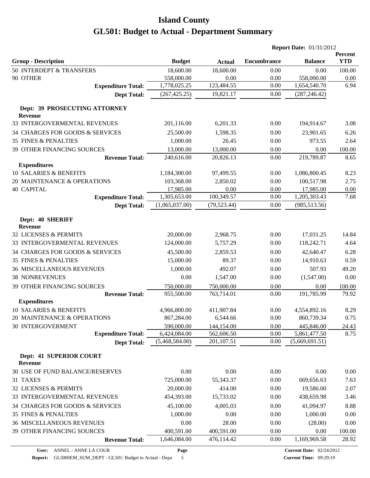|                                                 |                |               |                    | <b>Report Date: 01/31/2012</b> |                       |  |
|-------------------------------------------------|----------------|---------------|--------------------|--------------------------------|-----------------------|--|
| <b>Group - Description</b>                      | <b>Budget</b>  | <b>Actual</b> | <b>Encumbrance</b> | <b>Balance</b>                 | Percent<br><b>YTD</b> |  |
| 50 INTERDEPT & TRANSFERS                        | 18,600.00      | 18,600.00     | 0.00               | 0.00                           | 100.00                |  |
| 90 OTHER                                        | 558,000.00     | 0.00          | 0.00               | 558,000.00                     | 0.00                  |  |
| <b>Expenditure Total:</b>                       | 1,778,025.25   | 123,484.55    | 0.00               | 1,654,540.70                   | 6.94                  |  |
| <b>Dept Total:</b>                              | (267, 425.25)  | 19,821.17     | 0.00               | (287, 246.42)                  |                       |  |
| Dept: 39 PROSECUTING ATTORNEY<br><b>Revenue</b> |                |               |                    |                                |                       |  |
| 33 INTERGOVERMENTAL REVENUES                    | 201,116.00     | 6,201.33      | 0.00               | 194,914.67                     | 3.08                  |  |
| 34 CHARGES FOR GOODS & SERVICES                 | 25,500.00      | 1,598.35      | 0.00               | 23,901.65                      | 6.26                  |  |
| <b>35 FINES &amp; PENALTIES</b>                 | 1,000.00       | 26.45         | 0.00               | 973.55                         | 2.64                  |  |
| 39 OTHER FINANCING SOURCES                      | 13,000.00      | 13,000.00     | 0.00               | 0.00                           | 100.00                |  |
| <b>Revenue Total:</b>                           | 240,616.00     | 20,826.13     | 0.00               | 219,789.87                     | 8.65                  |  |
| <b>Expenditures</b>                             |                |               |                    |                                |                       |  |
| 10 SALARIES & BENEFITS                          | 1,184,300.00   | 97,499.55     | 0.00               | 1,086,800.45                   | 8.23                  |  |
| 20 MAINTENANCE & OPERATIONS                     | 103,368.00     | 2,850.02      | 0.00               | 100,517.98                     | 2.75                  |  |
| <b>40 CAPITAL</b>                               | 17,985.00      | 0.00          | 0.00               | 17,985.00                      | 0.00                  |  |
| <b>Expenditure Total:</b>                       | 1,305,653.00   | 100,349.57    | $0.00\,$           | 1,205,303.43                   | 7.68                  |  |
| <b>Dept Total:</b>                              | (1,065,037.00) | (79, 523.44)  | 0.00               | (985, 513.56)                  |                       |  |
| Dept: 40 SHERIFF<br><b>Revenue</b>              |                |               |                    |                                |                       |  |
| 32 LICENSES & PERMITS                           | 20,000.00      | 2,968.75      | 0.00               | 17,031.25                      | 14.84                 |  |
| 33 INTERGOVERMENTAL REVENUES                    | 124,000.00     | 5,757.29      | 0.00               | 118,242.71                     | 4.64                  |  |
| 34 CHARGES FOR GOODS & SERVICES                 | 45,500.00      | 2,859.53      | 0.00               | 42,640.47                      | 6.28                  |  |
| <b>35 FINES &amp; PENALTIES</b>                 | 15,000.00      | 89.37         | 0.00               | 14,910.63                      | 0.59                  |  |
| <b>36 MISCELLANEOUS REVENUES</b>                | 1,000.00       | 492.07        | 0.00               | 507.93                         | 49.20                 |  |
| <b>38 NONREVENUES</b>                           | 0.00           | 1,547.00      | 0.00               | (1,547.00)                     | 0.00                  |  |
| 39 OTHER FINANCING SOURCES                      | 750,000.00     | 750,000.00    | 0.00               | 0.00                           | 100.00                |  |
| <b>Revenue Total:</b>                           | 955,500.00     | 763,714.01    | 0.00               | 191,785.99                     | 79.92                 |  |
| <b>Expenditures</b>                             |                |               |                    |                                |                       |  |
| 10 SALARIES & BENEFITS                          | 4,966,800.00   | 411,907.84    | 0.00               | 4,554,892.16                   | 8.29                  |  |
| 20 MAINTENANCE & OPERATIONS                     | 867,284.00     | 6,544.66      | 0.00               | 860,739.34                     | 0.75                  |  |
| <b>30 INTERGOVERMENT</b>                        | 590,000.00     | 144,154.00    | 0.00               | 445,846.00                     | 24.43                 |  |
| <b>Expenditure Total:</b>                       | 6,424,084.00   | 562,606.50    | 0.00               | 5,861,477.50                   | 8.75                  |  |
| <b>Dept Total:</b>                              | (5,468,584.00) | 201,107.51    | 0.00               | (5,669,691.51)                 |                       |  |
| Dept: 41 SUPERIOR COURT<br>Revenue              |                |               |                    |                                |                       |  |
| 30 USE OF FUND BALANCE/RESERVES                 | 0.00           | 0.00          | 0.00               | 0.00                           | 0.00                  |  |
| 31 TAXES                                        | 725,000.00     | 55,343.37     | 0.00               | 669,656.63                     | 7.63                  |  |
| 32 LICENSES & PERMITS                           | 20,000.00      | 414.00        | 0.00               | 19,586.00                      | 2.07                  |  |
| 33 INTERGOVERMENTAL REVENUES                    | 454,393.00     | 15,733.02     | 0.00               | 438,659.98                     | 3.46                  |  |
| 34 CHARGES FOR GOODS & SERVICES                 | 45,100.00      | 4,005.03      | 0.00               | 41,094.97                      | 8.88                  |  |
| <b>35 FINES &amp; PENALTIES</b>                 | 1,000.00       | 0.00          | 0.00               | 1,000.00                       | 0.00                  |  |
| <b>36 MISCELLANEOUS REVENUES</b>                | 0.00           | 28.00         | 0.00               | (28.00)                        | 0.00                  |  |
| 39 OTHER FINANCING SOURCES                      | 400,591.00     | 400,591.00    | 0.00               | 0.00                           | 100.00                |  |
| <b>Revenue Total:</b>                           | 1,646,084.00   | 476,114.42    | 0.00               | 1,169,969.58                   | 28.92                 |  |
|                                                 |                |               |                    |                                |                       |  |

**Page**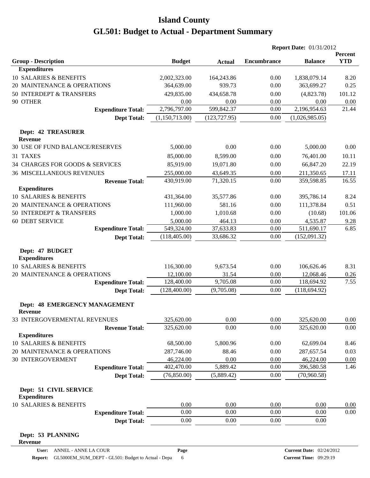|                                                        |                |               | <b>Report Date: 01/31/2012</b> |                |                       |
|--------------------------------------------------------|----------------|---------------|--------------------------------|----------------|-----------------------|
| <b>Group - Description</b>                             | <b>Budget</b>  | <b>Actual</b> | <b>Encumbrance</b>             | <b>Balance</b> | Percent<br><b>YTD</b> |
| <b>Expenditures</b>                                    |                |               |                                |                |                       |
| 10 SALARIES & BENEFITS                                 | 2,002,323.00   | 164,243.86    | 0.00                           | 1,838,079.14   | 8.20                  |
| 20 MAINTENANCE & OPERATIONS                            | 364,639.00     | 939.73        | 0.00                           | 363,699.27     | 0.25                  |
| 50 INTERDEPT & TRANSFERS                               | 429,835.00     | 434,658.78    | 0.00                           | (4,823.78)     | 101.12                |
| 90 OTHER                                               | 0.00           | 0.00          | 0.00                           | 0.00           | 0.00                  |
| <b>Expenditure Total:</b>                              | 2,796,797.00   | 599,842.37    | 0.00                           | 2,196,954.63   | 21.44                 |
| <b>Dept Total:</b>                                     | (1,150,713.00) | (123, 727.95) | 0.00                           | (1,026,985.05) |                       |
| Dept: 42 TREASURER<br><b>Revenue</b>                   |                |               |                                |                |                       |
| 30 USE OF FUND BALANCE/RESERVES                        | 5,000.00       | 0.00          | 0.00                           | 5,000.00       | 0.00                  |
| 31 TAXES                                               | 85,000.00      | 8,599.00      | 0.00                           | 76,401.00      | 10.11                 |
| 34 CHARGES FOR GOODS & SERVICES                        | 85,919.00      | 19,071.80     | 0.00                           | 66,847.20      | 22.19                 |
| <b>36 MISCELLANEOUS REVENUES</b>                       | 255,000.00     | 43,649.35     | 0.00                           | 211,350.65     | 17.11                 |
| <b>Revenue Total:</b>                                  | 430,919.00     | 71,320.15     | 0.00                           | 359,598.85     | 16.55                 |
| <b>Expenditures</b>                                    |                |               |                                |                |                       |
| 10 SALARIES & BENEFITS                                 | 431,364.00     | 35,577.86     | 0.00                           | 395,786.14     | 8.24                  |
| 20 MAINTENANCE & OPERATIONS                            | 111,960.00     | 581.16        | 0.00                           | 111,378.84     | 0.51                  |
| 50 INTERDEPT & TRANSFERS                               | 1,000.00       | 1,010.68      | 0.00                           | (10.68)        | 101.06                |
| <b>60 DEBT SERVICE</b>                                 | 5,000.00       | 464.13        | 0.00                           | 4,535.87       | 9.28                  |
| <b>Expenditure Total:</b>                              | 549,324.00     | 37,633.83     | 0.00                           | 511,690.17     | 6.85                  |
| <b>Dept Total:</b>                                     | (118, 405.00)  | 33,686.32     | 0.00                           | (152,091.32)   |                       |
| Dept: 47 BUDGET                                        |                |               |                                |                |                       |
| <b>Expenditures</b>                                    |                |               |                                |                |                       |
| 10 SALARIES & BENEFITS                                 | 116,300.00     | 9,673.54      | 0.00                           | 106,626.46     | 8.31                  |
| 20 MAINTENANCE & OPERATIONS                            | 12,100.00      | 31.54         | 0.00                           | 12,068.46      | 0.26                  |
| <b>Expenditure Total:</b>                              | 128,400.00     | 9,705.08      | 0.00                           | 118,694.92     | 7.55                  |
| <b>Dept Total:</b>                                     | (128, 400.00)  | (9,705.08)    | 0.00                           | (118, 694.92)  |                       |
| <b>Dept: 48 EMERGENCY MANAGEMENT</b><br><b>Revenue</b> |                |               |                                |                |                       |
| 33 INTERGOVERMENTAL REVENUES                           | 325,620.00     | 0.00          | 0.00                           | 325,620.00     | 0.00                  |
| <b>Revenue Total:</b>                                  | 325,620.00     | 0.00          | 0.00                           | 325,620.00     | 0.00                  |
| <b>Expenditures</b>                                    |                |               |                                |                |                       |
| 10 SALARIES & BENEFITS                                 | 68,500.00      | 5,800.96      | 0.00                           | 62,699.04      | 8.46                  |
| 20 MAINTENANCE & OPERATIONS                            | 287,746.00     | 88.46         | 0.00                           | 287,657.54     | 0.03                  |
| <b>30 INTERGOVERMENT</b>                               | 46,224.00      | 0.00          | 0.00                           | 46,224.00      | 0.00                  |
| <b>Expenditure Total:</b>                              | 402,470.00     | 5,889.42      | 0.00                           | 396,580.58     | 1.46                  |
| <b>Dept Total:</b>                                     | (76,850.00)    | (5,889.42)    | 0.00                           | (70,960.58)    |                       |
|                                                        |                |               |                                |                |                       |
| Dept: 51 CIVIL SERVICE<br><b>Expenditures</b>          |                |               |                                |                |                       |
| 10 SALARIES & BENEFITS                                 | 0.00           | 0.00          | 0.00                           | 0.00           | 0.00                  |
| <b>Expenditure Total:</b>                              | 0.00           | 0.00          | 0.00                           | 0.00           | 0.00                  |
| <b>Dept Total:</b>                                     | 0.00           | 0.00          | 0.00                           | 0.00           |                       |
| Dept: 53 PLANNING<br><b>Revenue</b>                    |                |               |                                |                |                       |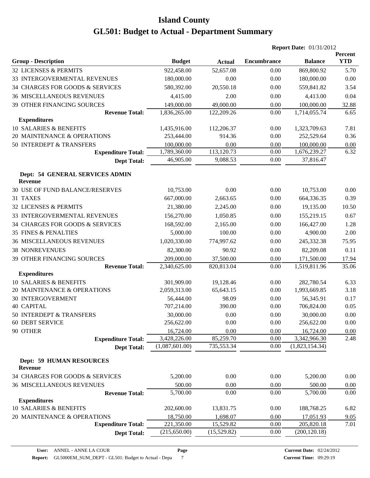|                                                   |                |               | <b>Report Date: 01/31/2012</b> |                |                       |  |
|---------------------------------------------------|----------------|---------------|--------------------------------|----------------|-----------------------|--|
| <b>Group - Description</b>                        | <b>Budget</b>  | <b>Actual</b> | <b>Encumbrance</b>             | <b>Balance</b> | Percent<br><b>YTD</b> |  |
| 32 LICENSES & PERMITS                             | 922,458.00     | 52,657.08     | 0.00                           | 869,800.92     | 5.70                  |  |
| 33 INTERGOVERMENTAL REVENUES                      | 180,000.00     | 0.00          | 0.00                           | 180,000.00     | 0.00                  |  |
| 34 CHARGES FOR GOODS & SERVICES                   | 580,392.00     | 20,550.18     | 0.00                           | 559,841.82     | 3.54                  |  |
| <b>36 MISCELLANEOUS REVENUES</b>                  | 4,415.00       | 2.00          | 0.00                           | 4,413.00       | 0.04                  |  |
| 39 OTHER FINANCING SOURCES                        | 149,000.00     | 49,000.00     | 0.00                           | 100,000.00     | 32.88                 |  |
| <b>Revenue Total:</b>                             | 1,836,265.00   | 122,209.26    | 0.00                           | 1,714,055.74   | 6.65                  |  |
| <b>Expenditures</b>                               |                |               |                                |                |                       |  |
| 10 SALARIES & BENEFITS                            | 1,435,916.00   | 112,206.37    | 0.00                           | 1,323,709.63   | 7.81                  |  |
| 20 MAINTENANCE & OPERATIONS                       | 253,444.00     | 914.36        | 0.00                           | 252,529.64     | 0.36                  |  |
| 50 INTERDEPT & TRANSFERS                          | 100,000.00     | 0.00          | 0.00                           | 100,000.00     | 0.00                  |  |
| <b>Expenditure Total:</b>                         | 1,789,360.00   | 113,120.73    | 0.00                           | 1,676,239.27   | 6.32                  |  |
| <b>Dept Total:</b>                                | 46,905.00      | 9,088.53      | 0.00                           | 37,816.47      |                       |  |
| Dept: 54 GENERAL SERVICES ADMIN<br>Revenue        |                |               |                                |                |                       |  |
| 30 USE OF FUND BALANCE/RESERVES                   | 10,753.00      | 0.00          | 0.00                           | 10,753.00      | 0.00                  |  |
| 31 TAXES                                          | 667,000.00     | 2,663.65      | 0.00                           | 664,336.35     | 0.39                  |  |
| 32 LICENSES & PERMITS                             | 21,380.00      | 2,245.00      | 0.00                           | 19,135.00      | 10.50                 |  |
| 33 INTERGOVERMENTAL REVENUES                      | 156,270.00     | 1,050.85      | 0.00                           | 155,219.15     | 0.67                  |  |
| 34 CHARGES FOR GOODS & SERVICES                   | 168,592.00     | 2,165.00      | 0.00                           | 166,427.00     | 1.28                  |  |
| <b>35 FINES &amp; PENALTIES</b>                   | 5,000.00       | 100.00        | 0.00                           | 4,900.00       | 2.00                  |  |
| <b>36 MISCELLANEOUS REVENUES</b>                  | 1,020,330.00   | 774,997.62    | 0.00                           | 245,332.38     | 75.95                 |  |
| <b>38 NONREVENUES</b>                             | 82,300.00      | 90.92         | 0.00                           | 82,209.08      | 0.11                  |  |
| 39 OTHER FINANCING SOURCES                        | 209,000.00     | 37,500.00     | 0.00                           | 171,500.00     | 17.94                 |  |
| <b>Revenue Total:</b>                             | 2,340,625.00   | 820,813.04    | 0.00                           | 1,519,811.96   | 35.06                 |  |
| <b>Expenditures</b>                               |                |               |                                |                |                       |  |
| 10 SALARIES & BENEFITS                            | 301,909.00     | 19,128.46     | 0.00                           | 282,780.54     | 6.33                  |  |
| 20 MAINTENANCE & OPERATIONS                       | 2,059,313.00   | 65,643.15     | 0.00                           | 1,993,669.85   | 3.18                  |  |
| <b>30 INTERGOVERMENT</b>                          | 56,444.00      | 98.09         | 0.00                           | 56,345.91      | 0.17                  |  |
| <b>40 CAPITAL</b>                                 | 707,214.00     | 390.00        | 0.00                           | 706,824.00     | 0.05                  |  |
| 50 INTERDEPT & TRANSFERS                          | 30,000.00      | $0.00\,$      | $0.00\,$                       | 30,000.00      | $0.00\,$              |  |
| <b>60 DEBT SERVICE</b>                            | 256,622.00     | 0.00          | 0.00                           | 256,622.00     | 0.00                  |  |
| 90 OTHER                                          | 16,724.00      | 0.00          | 0.00                           | 16,724.00      | 0.00                  |  |
| <b>Expenditure Total:</b>                         | 3,428,226.00   | 85,259.70     | 0.00                           | 3,342,966.30   | 2.48                  |  |
| <b>Dept Total:</b>                                | (1,087,601.00) | 735,553.34    | 0.00                           | (1,823,154.34) |                       |  |
| <b>Dept: 59 HUMAN RESOURCES</b><br><b>Revenue</b> |                |               |                                |                |                       |  |
| 34 CHARGES FOR GOODS & SERVICES                   | 5,200.00       | 0.00          | 0.00                           | 5,200.00       | 0.00                  |  |
| <b>36 MISCELLANEOUS REVENUES</b>                  | 500.00         | 0.00          | 0.00                           | 500.00         | 0.00                  |  |
| <b>Revenue Total:</b>                             | 5,700.00       | 0.00          | 0.00                           | 5,700.00       | 0.00                  |  |
| <b>Expenditures</b>                               |                |               |                                |                |                       |  |
| 10 SALARIES & BENEFITS                            | 202,600.00     | 13,831.75     | 0.00                           | 188,768.25     | 6.82                  |  |
| 20 MAINTENANCE & OPERATIONS                       | 18,750.00      | 1,698.07      | 0.00                           | 17,051.93      | 9.05                  |  |
| <b>Expenditure Total:</b>                         | 221,350.00     | 15,529.82     | 0.00                           | 205,820.18     | 7.01                  |  |
| <b>Dept Total:</b>                                | (215, 650.00)  | (15,529.82)   | 0.00                           | (200, 120.18)  |                       |  |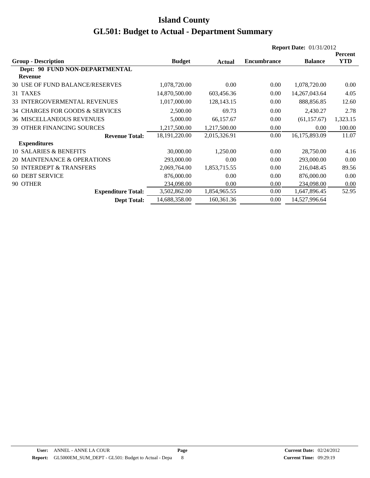|                                     |                 |              | <b>Report Date: 01/31/2012</b> |                  |            |
|-------------------------------------|-----------------|--------------|--------------------------------|------------------|------------|
|                                     |                 |              |                                |                  | Percent    |
| <b>Group - Description</b>          | <b>Budget</b>   | Actual       | <b>Encumbrance</b>             | <b>Balance</b>   | <b>YTD</b> |
| Dept: 90 FUND NON-DEPARTMENTAL      |                 |              |                                |                  |            |
| <b>Revenue</b>                      |                 |              |                                |                  |            |
| 30 USE OF FUND BALANCE/RESERVES     | 1,078,720.00    | 0.00         | 0.00                           | 1,078,720.00     | 0.00       |
| 31 TAXES                            | 14,870,500.00   | 603,456.36   | 0.00                           | 14, 267, 043. 64 | 4.05       |
| <b>33 INTERGOVERMENTAL REVENUES</b> | 1,017,000.00    | 128, 143. 15 | 0.00                           | 888,856.85       | 12.60      |
| 34 CHARGES FOR GOODS & SERVICES     | 2,500.00        | 69.73        | 0.00                           | 2,430.27         | 2.78       |
| <b>36 MISCELLANEOUS REVENUES</b>    | 5,000.00        | 66,157.67    | 0.00                           | (61, 157.67)     | 1,323.15   |
| <b>39 OTHER FINANCING SOURCES</b>   | 1,217,500.00    | 1,217,500.00 | 0.00                           | 0.00             | 100.00     |
| <b>Revenue Total:</b>               | 18, 191, 220.00 | 2,015,326.91 | 0.00                           | 16,175,893.09    | 11.07      |
| <b>Expenditures</b>                 |                 |              |                                |                  |            |
| 10 SALARIES & BENEFITS              | 30,000.00       | 1,250.00     | 0.00                           | 28,750.00        | 4.16       |
| 20 MAINTENANCE & OPERATIONS         | 293,000.00      | 0.00         | 0.00                           | 293,000.00       | 0.00       |
| 50 INTERDEPT & TRANSFERS            | 2,069,764.00    | 1,853,715.55 | 0.00                           | 216,048.45       | 89.56      |
| <b>60 DEBT SERVICE</b>              | 876,000.00      | 0.00         | 0.00                           | 876,000.00       | 0.00       |
| 90 OTHER                            | 234,098.00      | 0.00         | 0.00                           | 234,098.00       | 0.00       |
| <b>Expenditure Total:</b>           | 3,502,862.00    | 1,854,965.55 | 0.00                           | 1,647,896.45     | 52.95      |
| <b>Dept Total:</b>                  | 14,688,358.00   | 160,361.36   | 0.00                           | 14,527,996.64    |            |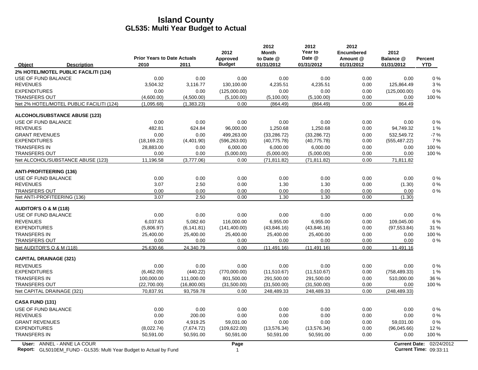|                                                                                                  | <b>Prior Years to Date Actuals</b> |             | 2012                      | 2012<br><b>Month</b>    | 2012<br>Year to<br>Date @ | 2012<br><b>Encumbered</b> | 2012                    |                                                    |
|--------------------------------------------------------------------------------------------------|------------------------------------|-------------|---------------------------|-------------------------|---------------------------|---------------------------|-------------------------|----------------------------------------------------|
| Object<br><b>Description</b>                                                                     | 2010                               | 2011        | Approved<br><b>Budget</b> | to Date @<br>01/31/2012 | 01/31/2012                | Amount @<br>01/31/2012    | Balance @<br>01/31/2012 | Percent<br><b>YTD</b>                              |
| 2% HOTEL/MOTEL PUBLIC FACILITI (124)                                                             |                                    |             |                           |                         |                           |                           |                         |                                                    |
| USE OF FUND BALANCE                                                                              | 0.00                               | 0.00        | 0.00                      | 0.00                    | 0.00                      | 0.00                      | 0.00                    | 0%                                                 |
| <b>REVENUES</b>                                                                                  | 3,504.32                           | 3,116.77    | 130,100.00                | 4,235.51                | 4,235.51                  | 0.00                      | 125,864.49              | 3%                                                 |
| <b>EXPENDITURES</b>                                                                              | 0.00                               | 0.00        | (125,000.00)              | 0.00                    | 0.00                      | 0.00                      | (125,000.00)            | 0%                                                 |
| <b>TRANSFERS OUT</b>                                                                             | (4,600.00)                         | (4,500.00)  | (5,100.00)                | (5,100.00)              | (5,100.00)                | 0.00                      | 0.00                    | 100 %                                              |
| Net 2% HOTEL/MOTEL PUBLIC FACILITI (124)                                                         | (1,095.68)                         | (1,383.23)  | 0.00                      | (864.49)                | (864.49)                  | 0.00                      | 864.49                  |                                                    |
| <b>ALCOHOL/SUBSTANCE ABUSE (123)</b>                                                             |                                    |             |                           |                         |                           |                           |                         |                                                    |
| USE OF FUND BALANCE                                                                              | 0.00                               | 0.00        | 0.00                      | 0.00                    | 0.00                      | 0.00                      | 0.00                    | $0\%$                                              |
| <b>REVENUES</b>                                                                                  | 482.81                             | 624.84      | 96,000.00                 | 1,250.68                | 1,250.68                  | 0.00                      | 94,749.32               | 1%                                                 |
| <b>GRANT REVENUES</b>                                                                            | 0.00                               | 0.00        | 499,263.00                | (33, 286.72)            | (33, 286.72)              | 0.00                      | 532,549.72              | $-7%$                                              |
| <b>EXPENDITURES</b>                                                                              | (18, 169.23)                       | (4,401.90)  | (596, 263.00)             | (40, 775.78)            | (40, 775.78)              | 0.00                      | (555, 487.22)           | 7 %                                                |
| <b>TRANSFERS IN</b>                                                                              | 28,883.00                          | 0.00        | 6,000.00                  | 6,000.00                | 6,000.00                  | 0.00                      | 0.00                    | 100 %                                              |
| <b>TRANSFERS OUT</b>                                                                             | 0.00                               | 0.00        | (5,000.00)                | (5,000.00)              | (5,000.00)                | 0.00                      | 0.00                    | 100 %                                              |
| Net ALCOHOL/SUBSTANCE ABUSE (123)                                                                | 11,196.58                          | (3,777.06)  | 0.00                      | (71, 811.82)            | (71, 811.82)              | 0.00                      | 71,811.82               |                                                    |
| <b>ANTI-PROFITEERING (136)</b>                                                                   |                                    |             |                           |                         |                           |                           |                         |                                                    |
| USE OF FUND BALANCE                                                                              | 0.00                               | 0.00        | 0.00                      | 0.00                    | 0.00                      | 0.00                      | 0.00                    | 0%                                                 |
| <b>REVENUES</b>                                                                                  | 3.07                               | 2.50        | 0.00                      | 1.30                    | 1.30                      | 0.00                      | (1.30)                  | 0%                                                 |
| <b>TRANSFERS OUT</b>                                                                             | 0.00                               | 0.00        | 0.00                      | 0.00                    | 0.00                      | 0.00                      | 0.00                    | 0%                                                 |
| Net ANTI-PROFITEERING (136)                                                                      | 3.07                               | 2.50        | 0.00                      | 1.30                    | 1.30                      | 0.00                      | (1.30)                  |                                                    |
| AUDITOR'S O & M (118)                                                                            |                                    |             |                           |                         |                           |                           |                         |                                                    |
| USE OF FUND BALANCE                                                                              | 0.00                               | 0.00        | 0.00                      | 0.00                    | 0.00                      | 0.00                      | 0.00                    | $0\%$                                              |
| <b>REVENUES</b>                                                                                  | 6,037.63                           | 5,082.60    | 116,000.00                | 6,955.00                | 6,955.00                  | 0.00                      | 109,045.00              | 6 %                                                |
| <b>EXPENDITURES</b>                                                                              | (5,806.97)                         | (6, 141.81) | (141, 400.00)             | (43,846.16)             | (43,846.16)               | 0.00                      | (97, 553.84)            | 31 %                                               |
| <b>TRANSFERS IN</b>                                                                              | 25,400.00                          | 25,400.00   | 25,400.00                 | 25,400.00               | 25,400.00                 | 0.00                      | 0.00                    | 100 %                                              |
| <b>TRANSFERS OUT</b>                                                                             | 0.00                               | 0.00        | 0.00                      | 0.00                    | 0.00                      | 0.00                      | 0.00                    | 0%                                                 |
| Net AUDITOR'S O & M (118)                                                                        | 25,630.66                          | 24,340.79   | 0.00                      | (11, 491.16)            | (11, 491.16)              | 0.00                      | 11,491.16               |                                                    |
| <b>CAPITAL DRAINAGE (321)</b>                                                                    |                                    |             |                           |                         |                           |                           |                         |                                                    |
| <b>REVENUES</b>                                                                                  | 0.00                               | 0.00        | 0.00                      | 0.00                    | 0.00                      | 0.00                      | 0.00                    | 0%                                                 |
| <b>EXPENDITURES</b>                                                                              | (6,462.09)                         | (440.22)    | (770,000.00)              | (11,510.67)             | (11,510.67)               | 0.00                      | (758, 489.33)           | 1%                                                 |
| <b>TRANSFERS IN</b>                                                                              | 100,000.00                         | 111,000.00  | 801,500.00                | 291,500.00              | 291,500.00                | 0.00                      | 510,000.00              | 36 %                                               |
| <b>TRANSFERS OUT</b>                                                                             | (22,700.00)                        | (16,800.00) | (31,500.00)               | (31,500.00)             | (31,500.00)               | 0.00                      | 0.00                    | 100 %                                              |
| Net CAPITAL DRAINAGE (321)                                                                       | 70,837.91                          | 93,759.78   | 0.00                      | 248,489.33              | 248,489.33                | 0.00                      | (248, 489.33)           |                                                    |
| CASA FUND (131)                                                                                  |                                    |             |                           |                         |                           |                           |                         |                                                    |
| USE OF FUND BALANCE                                                                              | 0.00                               | 0.00        | 0.00                      | 0.00                    | 0.00                      | 0.00                      | 0.00                    | $0\%$                                              |
| <b>REVENUES</b>                                                                                  | 0.00                               | 200.00      | 0.00                      | 0.00                    | 0.00                      | 0.00                      | 0.00                    | 0%                                                 |
| <b>GRANT REVENUES</b>                                                                            | 0.00                               | 4,919.25    | 59,031.00                 | 0.00                    | 0.00                      | 0.00                      | 59,031.00               | 0%                                                 |
| <b>EXPENDITURES</b>                                                                              | (8,022.74)                         | (7,674.72)  | (109, 622.00)             | (13, 576.34)            | (13, 576.34)              | 0.00                      | (96,045.66)             | 12%                                                |
| <b>TRANSFERS IN</b>                                                                              | 50,591.00                          | 50,591.00   | 50,591.00                 | 50,591.00               | 50,591.00                 | 0.00                      | 0.00                    | 100 %                                              |
| User: ANNEL - ANNE LA COUR<br>Report: GL5010EM_FUND - GL535: Multi Year Budget to Actual by Fund |                                    |             | Page<br>$\overline{1}$    |                         |                           |                           |                         | Current Date: 02/24/2012<br>Current Time: 09:33:11 |

**Report:** GL5010EM\_FUND - GL535: Multi Year Budget to Actual by Fund 09:03:11 09:03:11 09:03:11 09:33:11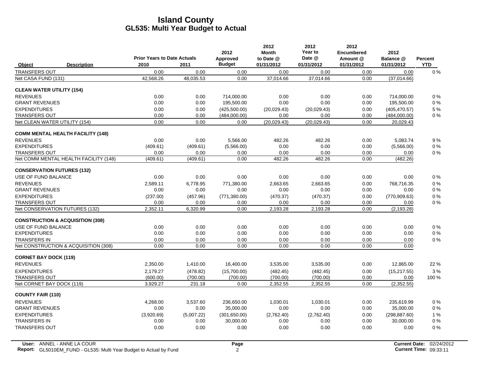|                                   |                                             | <b>Prior Years to Date Actuals</b> |            | 2012<br>Approved | 2012<br><b>Month</b><br>to Date @ | 2012<br>Year to<br>Date @ | 2012<br><b>Encumbered</b><br>Amount @ | 2012<br>Balance @ | Percent    |
|-----------------------------------|---------------------------------------------|------------------------------------|------------|------------------|-----------------------------------|---------------------------|---------------------------------------|-------------------|------------|
| <b>Object</b>                     | <b>Description</b>                          | 2010                               | 2011       | <b>Budget</b>    | 01/31/2012                        | 01/31/2012                | 01/31/2012                            | 01/31/2012        | <b>YTD</b> |
| <b>TRANSFERS OUT</b>              |                                             | 0.00                               | 0.00       | 0.00             | 0.00                              | 0.00                      | 0.00                                  | 0.00              | $0\%$      |
| Net CASA FUND (131)               |                                             | 42,568.26                          | 48,035.53  | 0.00             | 37,014.66                         | 37,014.66                 | 0.00                                  | (37,014.66)       |            |
| <b>CLEAN WATER UTILITY (154)</b>  |                                             |                                    |            |                  |                                   |                           |                                       |                   |            |
| <b>REVENUES</b>                   |                                             | 0.00                               | 0.00       | 714,000.00       | 0.00                              | 0.00                      | 0.00                                  | 714,000.00        | $0\%$      |
| <b>GRANT REVENUES</b>             |                                             | 0.00                               | 0.00       | 195,500.00       | 0.00                              | 0.00                      | 0.00                                  | 195,500.00        | $0\%$      |
| <b>EXPENDITURES</b>               |                                             | 0.00                               | 0.00       | (425,500.00)     | (20,029.43)                       | (20,029.43)               | 0.00                                  | (405, 470.57)     | 5 %        |
| <b>TRANSFERS OUT</b>              |                                             | 0.00                               | 0.00       | (484,000.00)     | 0.00                              | 0.00                      | 0.00                                  | (484,000.00)      | $0\%$      |
| Net CLEAN WATER UTILITY (154)     |                                             | 0.00                               | 0.00       | 0.00             | (20, 029.43)                      | (20,029.43)               | 0.00                                  | 20,029.43         |            |
|                                   | <b>COMM MENTAL HEALTH FACILITY (148)</b>    |                                    |            |                  |                                   |                           |                                       |                   |            |
| <b>REVENUES</b>                   |                                             | 0.00                               | 0.00       | 5,566.00         | 482.26                            | 482.26                    | 0.00                                  | 5,083.74          | 9%         |
| <b>EXPENDITURES</b>               |                                             | (409.61)                           | (409.61)   | (5,566.00)       | 0.00                              | 0.00                      | 0.00                                  | (5,566.00)        | $0\%$      |
| <b>TRANSFERS OUT</b>              |                                             | 0.00                               | 0.00       | 0.00             | 0.00                              | 0.00                      | 0.00                                  | 0.00              | $0\%$      |
|                                   | Net COMM MENTAL HEALTH FACILITY (148)       | (409.61)                           | (409.61)   | 0.00             | 482.26                            | 482.26                    | 0.00                                  | (482.26)          |            |
| <b>CONSERVATION FUTURES (132)</b> |                                             |                                    |            |                  |                                   |                           |                                       |                   |            |
| USE OF FUND BALANCE               |                                             | 0.00                               | 0.00       | 0.00             | 0.00                              | 0.00                      | 0.00                                  | 0.00              | $0\%$      |
| <b>REVENUES</b>                   |                                             | 2,589.11                           | 6,778.95   | 771,380.00       | 2,663.65                          | 2.663.65                  | 0.00                                  | 768,716.35        | $0\%$      |
| <b>GRANT REVENUES</b>             |                                             | 0.00                               | 0.00       | 0.00             | 0.00                              | 0.00                      | 0.00                                  | 0.00              | $0\%$      |
| <b>EXPENDITURES</b>               |                                             | (237.00)                           | (457.96)   | (771, 380.00)    | (470.37)                          | (470.37)                  | 0.00                                  | (770, 909.63)     | $0\%$      |
| <b>TRANSFERS OUT</b>              |                                             | 0.00                               | 0.00       | 0.00             | 0.00                              | 0.00                      | 0.00                                  | 0.00              | $0\%$      |
| Net CONSERVATION FUTURES (132)    |                                             | 2,352.11                           | 6.320.99   | 0.00             | 2,193.28                          | 2,193.28                  | 0.00                                  | (2, 193.28)       |            |
|                                   | <b>CONSTRUCTION &amp; ACQUISITION (308)</b> |                                    |            |                  |                                   |                           |                                       |                   |            |
| USE OF FUND BALANCE               |                                             | 0.00                               | 0.00       | 0.00             | 0.00                              | 0.00                      | 0.00                                  | 0.00              | $0\%$      |
| <b>EXPENDITURES</b>               |                                             | 0.00                               | 0.00       | 0.00             | 0.00                              | 0.00                      | 0.00                                  | 0.00              | $0\%$      |
| <b>TRANSFERS IN</b>               |                                             | 0.00                               | 0.00       | 0.00             | 0.00                              | 0.00                      | 0.00                                  | 0.00              | $0\%$      |
|                                   | Net CONSTRUCTION & ACQUISITION (308)        | 0.00                               | 0.00       | 0.00             | 0.00                              | 0.00                      | 0.00                                  | 0.00              |            |
| <b>CORNET BAY DOCK (119)</b>      |                                             |                                    |            |                  |                                   |                           |                                       |                   |            |
| <b>REVENUES</b>                   |                                             | 2,350.00                           | 1,410.00   | 16,400.00        | 3,535.00                          | 3,535.00                  | 0.00                                  | 12,865.00         | 22 %       |
| <b>EXPENDITURES</b>               |                                             | 2,179.27                           | (478.82)   | (15,700.00)      | (482.45)                          | (482.45)                  | 0.00                                  | (15, 217.55)      | 3%         |
| <b>TRANSFERS OUT</b>              |                                             | (600.00)                           | (700.00)   | (700.00)         | (700.00)                          | (700.00)                  | 0.00                                  | 0.00              | 100 %      |
| Net CORNET BAY DOCK (119)         |                                             | 3,929.27                           | 231.18     | 0.00             | 2,352.55                          | 2,352.55                  | 0.00                                  | (2,352.55)        |            |
| <b>COUNTY FAIR (110)</b>          |                                             |                                    |            |                  |                                   |                           |                                       |                   |            |
| <b>REVENUES</b>                   |                                             | 4.268.00                           | 3,537.60   | 236,650.00       | 1,030.01                          | 1,030.01                  | 0.00                                  | 235.619.99        | $0\%$      |
| <b>GRANT REVENUES</b>             |                                             | 0.00                               | 0.00       | 35,000.00        | 0.00                              | 0.00                      | 0.00                                  | 35,000.00         | $0\%$      |
| <b>EXPENDITURES</b>               |                                             | (3,920.69)                         | (5,007.22) | (301,650.00)     | (2,762.40)                        | (2,762.40)                | 0.00                                  | (298, 887.60)     | 1%         |
| <b>TRANSFERS IN</b>               |                                             | 0.00                               | 0.00       | 30,000.00        | 0.00                              | 0.00                      | 0.00                                  | 30,000.00         | $0\%$      |
| <b>TRANSFERS OUT</b>              |                                             | 0.00                               | 0.00       | 0.00             | 0.00                              | 0.00                      | 0.00                                  | 0.00              | 0%         |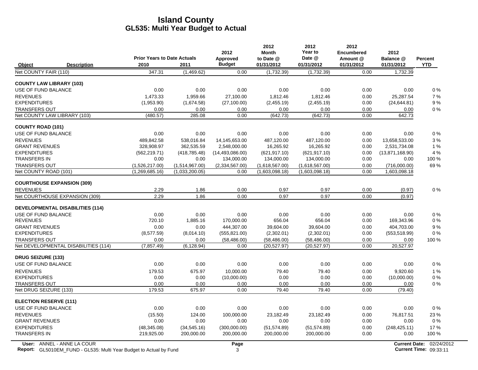|                                               |                                    |                                  | 2012                   | 2012<br><b>Month</b>             | 2012<br>Year to                  | 2012<br><b>Encumbered</b> | 2012                         |                |
|-----------------------------------------------|------------------------------------|----------------------------------|------------------------|----------------------------------|----------------------------------|---------------------------|------------------------------|----------------|
|                                               | <b>Prior Years to Date Actuals</b> |                                  | Approved               | to Date @                        | Date @                           | Amount @                  | Balance @                    | <b>Percent</b> |
| Object<br><b>Description</b>                  | 2010                               | 2011                             | <b>Budget</b>          | 01/31/2012                       | 01/31/2012                       | 01/31/2012                | 01/31/2012                   | <b>YTD</b>     |
| Net COUNTY FAIR (110)                         | 347.31                             | (1,469.62)                       | 0.00                   | (1,732.39)                       | (1,732.39)                       | 0.00                      | 1,732.39                     |                |
| <b>COUNTY LAW LIBRARY (103)</b>               |                                    |                                  |                        |                                  |                                  |                           |                              |                |
| USE OF FUND BALANCE                           | 0.00                               | 0.00                             | 0.00                   | 0.00                             | 0.00                             | 0.00                      | 0.00                         | $0\%$          |
| <b>REVENUES</b>                               | 1,473.33                           | 1,959.66                         | 27,100.00              | 1,812.46                         | 1,812.46                         | 0.00                      | 25,287.54                    | 7%             |
| <b>EXPENDITURES</b>                           | (1,953.90)                         | (1,674.58)                       | (27, 100.00)           | (2,455.19)                       | (2,455.19)                       | 0.00                      | (24, 644.81)                 | 9%             |
| <b>TRANSFERS OUT</b>                          | 0.00                               | 0.00                             | 0.00                   | 0.00                             | 0.00                             | 0.00                      | 0.00                         | 0%             |
| Net COUNTY LAW LIBRARY (103)                  | (480.57)                           | 285.08                           | 0.00                   | (642.73)                         | (642.73)                         | 0.00                      | 642.73                       |                |
| <b>COUNTY ROAD (101)</b>                      |                                    |                                  |                        |                                  |                                  |                           |                              |                |
| USE OF FUND BALANCE                           | 0.00                               | 0.00                             | 0.00                   | 0.00                             | 0.00                             | 0.00                      | 0.00                         | $0\%$          |
| <b>REVENUES</b>                               | 489.842.58                         | 538,016.84                       | 14,145,653.00          | 487,120.00                       | 487,120.00                       | 0.00                      | 13,658,533.00                | 3%             |
| <b>GRANT REVENUES</b>                         | 328,908.97                         | 362,535.59                       | 2,548,000.00           | 16,265.92                        | 16,265.92                        | 0.00                      | 2,531,734.08                 | 1 %            |
| <b>EXPENDITURES</b>                           | (562, 219.71)                      | (418, 785.48)                    | (14, 493, 086.00)      | (621, 917.10)                    | (621, 917.10)                    | 0.00                      | (13,871,168.90)              | 4 %            |
| <b>TRANSFERS IN</b>                           | 0.00                               | 0.00                             | 134,000.00             | 134,000.00                       | 134,000.00                       | 0.00                      | 0.00                         | 100 %          |
| <b>TRANSFERS OUT</b><br>Net COUNTY ROAD (101) | (1,526,217.00)<br>(1,269,685.16)   | (1,514,967.00)<br>(1,033,200.05) | (2,334,567.00)<br>0.00 | (1,618,567.00)<br>(1,603,098.18) | (1,618,567.00)<br>(1,603,098.18) | 0.00<br>0.00              | (716,000.00)<br>1,603,098.18 | 69%            |
|                                               |                                    |                                  |                        |                                  |                                  |                           |                              |                |
| <b>COURTHOUSE EXPANSION (309)</b>             |                                    |                                  |                        |                                  |                                  |                           |                              |                |
| <b>REVENUES</b>                               | 2.29                               | 1.86                             | 0.00                   | 0.97                             | 0.97                             | 0.00                      | (0.97)                       | 0%             |
| Net COURTHOUSE EXPANSION (309)                | 2.29                               | 1.86                             | 0.00                   | 0.97                             | 0.97                             | 0.00                      | (0.97)                       |                |
| <b>DEVELOPMENTAL DISABILITIES (114)</b>       |                                    |                                  |                        |                                  |                                  |                           |                              |                |
| USE OF FUND BALANCE                           | 0.00                               | 0.00                             | 0.00                   | 0.00                             | 0.00                             | 0.00                      | 0.00                         | 0%             |
| <b>REVENUES</b>                               | 720.10                             | 1,885.16                         | 170,000.00             | 656.04                           | 656.04                           | 0.00                      | 169,343.96                   | 0%             |
| <b>GRANT REVENUES</b>                         | 0.00                               | 0.00                             | 444,307.00             | 39,604.00                        | 39,604.00                        | 0.00                      | 404,703.00                   | 9%             |
| <b>EXPENDITURES</b>                           | (8,577.59)                         | (8,014.10)                       | (555, 821.00)          | (2,302.01)                       | (2,302.01)                       | 0.00                      | (553, 518.99)                | 0%             |
| <b>TRANSFERS OUT</b>                          | 0.00                               | 0.00                             | (58, 486.00)           | (58, 486.00)                     | (58, 486.00)                     | 0.00                      | 0.00                         | 100 %          |
| Net DEVELOPMENTAL DISABILITIES (114)          | (7, 857.49)                        | (6.128.94)                       | 0.00                   | (20, 527.97)                     | (20, 527.97)                     | 0.00                      | 20,527.97                    |                |
| <b>DRUG SEIZURE (133)</b>                     |                                    |                                  |                        |                                  |                                  |                           |                              |                |
| USE OF FUND BALANCE                           | 0.00                               | 0.00                             | 0.00                   | 0.00                             | 0.00                             | 0.00                      | 0.00                         | 0%             |
| <b>REVENUES</b>                               | 179.53                             | 675.97                           | 10,000.00              | 79.40                            | 79.40                            | 0.00                      | 9,920.60                     | 1%             |
| <b>EXPENDITURES</b>                           | 0.00                               | 0.00                             | (10,000.00)            | 0.00                             | 0.00                             | 0.00                      | (10,000.00)                  | 0%             |
| <b>TRANSFERS OUT</b>                          | 0.00                               | 0.00                             | 0.00                   | 0.00                             | 0.00                             | 0.00                      | 0.00                         | $0\%$          |
| Net DRUG SEIZURE (133)                        | 179.53                             | 675.97                           | 0.00                   | 79.40                            | 79.40                            | 0.00                      | (79.40)                      |                |
| <b>ELECTION RESERVE (111)</b>                 |                                    |                                  |                        |                                  |                                  |                           |                              |                |
| <b>USE OF FUND BALANCE</b>                    | 0.00                               | 0.00                             | 0.00                   | 0.00                             | 0.00                             | 0.00                      | 0.00                         | 0%             |
| <b>REVENUES</b>                               | (15.50)                            | 124.00                           | 100,000.00             | 23,182.49                        | 23,182.49                        | 0.00                      | 76,817.51                    | 23%            |
| <b>GRANT REVENUES</b>                         | 0.00                               | 0.00                             | 0.00                   | 0.00                             | 0.00                             | 0.00                      | 0.00                         | 0%             |
| <b>EXPENDITURES</b>                           | (48, 345.08)                       | (34, 545.16)                     | (300,000.00)           | (51, 574.89)                     | (51, 574.89)                     | 0.00                      | (248, 425.11)                | 17%            |
| <b>TRANSFERS IN</b>                           | 219,925.00                         | 200,000.00                       | 200,000.00             | 200,000.00                       | 200,000.00                       | 0.00                      | 0.00                         | 100 %          |

 $\overline{\phantom{a}}$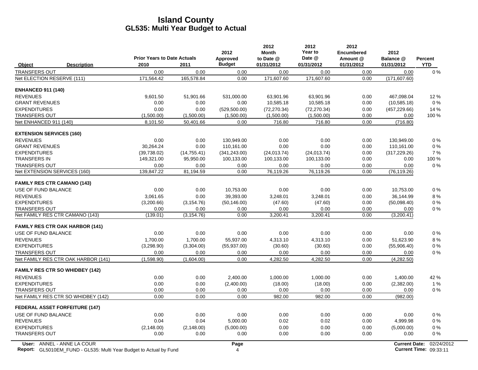|                                 |                                                                    | <b>Prior Years to Date Actuals</b> |              | 2012<br>Approved | 2012<br><b>Month</b><br>to Date @ | 2012<br>Year to<br>Date @ | 2012<br>Encumbered<br>Amount @ | 2012<br>Balance @    | Percent                |
|---------------------------------|--------------------------------------------------------------------|------------------------------------|--------------|------------------|-----------------------------------|---------------------------|--------------------------------|----------------------|------------------------|
| Object                          | <b>Description</b>                                                 | 2010                               | 2011         | <b>Budget</b>    | 01/31/2012                        | 01/31/2012                | 01/31/2012                     | 01/31/2012           | <b>YTD</b>             |
| <b>TRANSFERS OUT</b>            |                                                                    | 0.00                               | 0.00         | 0.00             | 0.00                              | 0.00                      | 0.00                           | 0.00                 | $0\%$                  |
| Net ELECTION RESERVE (111)      |                                                                    | 171.564.42                         | 165,578.84   | 0.00             | 171,607.60                        | 171,607.60                | 0.00                           | (171, 607.60)        |                        |
| <b>ENHANCED 911 (140)</b>       |                                                                    |                                    |              |                  |                                   |                           |                                |                      |                        |
| <b>REVENUES</b>                 |                                                                    | 9,601.50                           | 51,901.66    | 531,000.00       | 63,901.96                         | 63,901.96                 | 0.00                           | 467,098.04           | 12%                    |
| <b>GRANT REVENUES</b>           |                                                                    | 0.00                               | 0.00         | 0.00             | 10,585.18                         | 10,585.18                 | 0.00                           | (10, 585.18)         | 0%                     |
| <b>EXPENDITURES</b>             |                                                                    | 0.00                               | 0.00         | (529, 500.00)    | (72, 270.34)                      | (72, 270.34)              | 0.00                           | (457, 229.66)        | 14 %                   |
| <b>TRANSFERS OUT</b>            |                                                                    | (1,500.00)                         | (1,500.00)   | (1,500.00)       | (1,500.00)                        | (1,500.00)                | 0.00                           | 0.00                 | 100 %                  |
| Net ENHANCED 911 (140)          |                                                                    | 8,101.50                           | 50,401.66    | 0.00             | 716.80                            | 716.80                    | 0.00                           | (716.80)             |                        |
| <b>EXTENSION SERVICES (160)</b> |                                                                    |                                    |              |                  |                                   |                           |                                |                      |                        |
| <b>REVENUES</b>                 |                                                                    | 0.00                               | 0.00         | 130,949.00       | 0.00                              | 0.00                      | 0.00                           | 130,949.00           | 0%                     |
| <b>GRANT REVENUES</b>           |                                                                    | 30,264.24                          | 0.00         | 110,161.00       | 0.00                              | 0.00                      | 0.00                           | 110,161.00           | 0%                     |
| <b>EXPENDITURES</b>             |                                                                    | (39,738.02)                        | (14, 755.41) | (341, 243.00)    | (24, 013.74)                      | (24, 013.74)              | 0.00                           | (317, 229.26)        | 7%                     |
| <b>TRANSFERS IN</b>             |                                                                    | 149,321.00                         | 95,950.00    | 100,133.00       | 100,133.00                        | 100,133.00                | 0.00                           | 0.00                 | 100 %                  |
| <b>TRANSFERS OUT</b>            |                                                                    | 0.00                               | 0.00         | 0.00             | 0.00                              | 0.00                      | 0.00                           | 0.00                 | 0%                     |
|                                 | Net EXTENSION SERVICES (160)                                       | 139,847.22                         | 81,194.59    | 0.00             | 76,119.26                         | 76,119.26                 | 0.00                           | (76, 119.26)         |                        |
|                                 | <b>FAMILY RES CTR CAMANO (143)</b>                                 |                                    |              |                  |                                   |                           |                                |                      |                        |
| USE OF FUND BALANCE             |                                                                    | 0.00                               | 0.00         | 10,753.00        | 0.00                              | 0.00                      | 0.00                           | 10,753.00            | $0\%$                  |
| <b>REVENUES</b>                 |                                                                    | 3,061.65                           | 0.00         | 39,393.00        | 3,248.01                          | 3,248.01                  | 0.00                           | 36,144.99            | 8%                     |
| <b>EXPENDITURES</b>             |                                                                    | (3,200.66)                         | (3.154.76)   | (50, 146.00)     | (47.60)                           | (47.60)                   | 0.00                           | (50,098.40)          | 0%                     |
| <b>TRANSFERS OUT</b>            |                                                                    | 0.00                               | 0.00         | 0.00             | 0.00                              | 0.00                      | 0.00                           | 0.00                 | $0\%$                  |
|                                 | Net FAMILY RES CTR CAMANO (143)                                    | (139.01)                           | (3, 154.76)  | 0.00             | 3,200.41                          | 3,200.41                  | 0.00                           | (3,200.41)           |                        |
|                                 | <b>FAMILY RES CTR OAK HARBOR (141)</b>                             |                                    |              |                  |                                   |                           |                                |                      |                        |
| USE OF FUND BALANCE             |                                                                    | 0.00                               | 0.00         | 0.00             | 0.00                              | 0.00                      | 0.00                           | 0.00                 | 0%                     |
| <b>REVENUES</b>                 |                                                                    | 1,700.00                           | 1,700.00     | 55,937.00        | 4,313.10                          | 4,313.10                  | 0.00                           | 51,623.90            | 8%                     |
| <b>EXPENDITURES</b>             |                                                                    | (3,298.90)                         | (3,304.00)   | (55, 937.00)     | (30.60)                           | (30.60)                   | 0.00                           | (55,906.40)          | $0\%$                  |
| <b>TRANSFERS OUT</b>            |                                                                    | 0.00                               | 0.00         | 0.00             | 0.00                              | 0.00                      | 0.00                           | 0.00                 | $0\%$                  |
|                                 | Net FAMILY RES CTR OAK HARBOR (141)                                | (1,598.90)                         | (1,604.00)   | 0.00             | 4,282.50                          | 4,282.50                  | 0.00                           | (4,282.50)           |                        |
|                                 | <b>FAMILY RES CTR SO WHIDBEY (142)</b>                             |                                    |              |                  |                                   |                           |                                |                      |                        |
| <b>REVENUES</b>                 |                                                                    | 0.00                               | 0.00         | 2,400.00         | 1,000.00                          | 1,000.00                  | 0.00                           | 1,400.00             | 42 %                   |
| <b>EXPENDITURES</b>             |                                                                    | 0.00                               | 0.00         | (2,400.00)       | (18.00)                           | (18.00)                   | 0.00                           | (2,382.00)           | 1%                     |
| <b>TRANSFERS OUT</b>            |                                                                    | 0.00                               | 0.00         | 0.00             | 0.00                              | 0.00                      | 0.00                           | 0.00                 | $0\%$                  |
|                                 | Net FAMILY RES CTR SO WHIDBEY (142)                                | 0.00                               | 0.00         | 0.00             | 982.00                            | 982.00                    | 0.00                           | (982.00)             |                        |
|                                 | <b>FEDERAL ASSET FORFEITURE (147)</b>                              |                                    |              |                  |                                   |                           |                                |                      |                        |
| USE OF FUND BALANCE             |                                                                    | 0.00                               | 0.00         | 0.00             | 0.00                              | 0.00                      | 0.00                           | 0.00                 | 0%                     |
| <b>REVENUES</b>                 |                                                                    | 0.04                               | 0.04         | 5,000.00         | 0.02                              | 0.02                      | 0.00                           | 4,999.98             | $0\%$                  |
| <b>EXPENDITURES</b>             |                                                                    | (2, 148.00)                        | (2, 148.00)  | (5,000.00)       | 0.00                              | 0.00                      | 0.00                           | (5,000.00)           | 0%                     |
| <b>TRANSFERS OUT</b>            |                                                                    | 0.00                               | 0.00         | 0.00             | 0.00                              | 0.00                      | 0.00                           | 0.00                 | $0\%$                  |
|                                 | User: ANNEL - ANNE LA COUR                                         |                                    |              | Page             |                                   |                           |                                | <b>Current Date:</b> | 02/24/2012             |
|                                 | Report: GL5010EM_FUND - GL535: Multi Year Budget to Actual by Fund |                                    |              | $\overline{4}$   |                                   |                           |                                |                      | Current Time: 09:33:11 |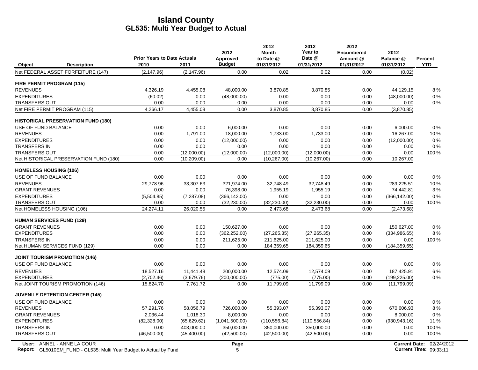|                                           |                                            |              | 2012                      | 2012<br><b>Month</b>    | 2012<br>Year to      | 2012<br><b>Encumbered</b> | 2012                    |                       |
|-------------------------------------------|--------------------------------------------|--------------|---------------------------|-------------------------|----------------------|---------------------------|-------------------------|-----------------------|
| Object<br><b>Description</b>              | <b>Prior Years to Date Actuals</b><br>2010 | 2011         | Approved<br><b>Budget</b> | to Date @<br>01/31/2012 | Date @<br>01/31/2012 | Amount @<br>01/31/2012    | Balance @<br>01/31/2012 | Percent<br><b>YTD</b> |
| Net FEDERAL ASSET FORFEITURE (147)        | (2, 147.96)                                | (2, 147.96)  | 0.00                      | 0.02                    | 0.02                 | 0.00                      | (0.02)                  |                       |
| <b>FIRE PERMIT PROGRAM (115)</b>          |                                            |              |                           |                         |                      |                           |                         |                       |
| <b>REVENUES</b>                           | 4.326.19                                   | 4,455.08     | 48,000.00                 | 3,870.85                | 3,870.85             | 0.00                      | 44,129.15               | 8%                    |
| <b>EXPENDITURES</b>                       | (60.02)                                    | 0.00         | (48,000.00)               | 0.00                    | 0.00                 | 0.00                      | (48,000.00)             | 0%                    |
| <b>TRANSFERS OUT</b>                      | 0.00                                       | 0.00         | 0.00                      | 0.00                    | 0.00                 | 0.00                      | 0.00                    | 0%                    |
| Net FIRE PERMIT PROGRAM (115)             | 4,266.17                                   | 4,455.08     | 0.00                      | 3,870.85                | 3,870.85             | 0.00                      | (3,870.85)              |                       |
| <b>HISTORICAL PRESERVATION FUND (180)</b> |                                            |              |                           |                         |                      |                           |                         |                       |
| USE OF FUND BALANCE                       | 0.00                                       | 0.00         | 6,000.00                  | 0.00                    | 0.00                 | 0.00                      | 6,000.00                | 0%                    |
| <b>REVENUES</b>                           | 0.00                                       | 1,791.00     | 18,000.00                 | 1,733.00                | 1,733.00             | 0.00                      | 16,267.00               | 10%                   |
| <b>EXPENDITURES</b>                       | 0.00                                       | 0.00         | (12,000.00)               | 0.00                    | 0.00                 | 0.00                      | (12,000.00)             | 0%                    |
| <b>TRANSFERS IN</b>                       | 0.00                                       | 0.00         | 0.00                      | 0.00                    | 0.00                 | 0.00                      | 0.00                    | $0\%$                 |
| <b>TRANSFERS OUT</b>                      | 0.00                                       | (12,000.00)  | (12,000.00)               | (12,000.00)             | (12,000.00)          | 0.00                      | 0.00                    | 100 %                 |
| Net HISTORICAL PRESERVATION FUND (180)    | 0.00                                       | (10, 209.00) | 0.00                      | (10, 267.00)            | (10, 267.00)         | 0.00                      | 10.267.00               |                       |
| <b>HOMELESS HOUSING (106)</b>             |                                            |              |                           |                         |                      |                           |                         |                       |
| USE OF FUND BALANCE                       | 0.00                                       | 0.00         | 0.00                      | 0.00                    | 0.00                 | 0.00                      | 0.00                    | $0\ \%$               |
| <b>REVENUES</b>                           | 29.778.96                                  | 33,307.63    | 321,974.00                | 32,748.49               | 32.748.49            | 0.00                      | 289.225.51              | 10%                   |
| <b>GRANT REVENUES</b>                     | 0.00                                       | 0.00         | 76,398.00                 | 1,955.19                | 1,955.19             | 0.00                      | 74,442.81               | 3%                    |
| <b>EXPENDITURES</b>                       | (5,504.85)                                 | (7, 287.08)  | (366, 142.00)             | 0.00                    | 0.00                 | 0.00                      | (366, 142.00)           | 0%                    |
| <b>TRANSFERS OUT</b>                      | 0.00                                       | 0.00         | (32, 230.00)              | (32, 230.00)            | (32, 230.00)         | 0.00                      | 0.00                    | 100 %                 |
| Net HOMELESS HOUSING (106)                | 24,274.11                                  | 26,020.55    | 0.00                      | 2,473.68                | 2,473.68             | 0.00                      | (2,473.68)              |                       |
| <b>HUMAN SERVICES FUND (129)</b>          |                                            |              |                           |                         |                      |                           |                         |                       |
| <b>GRANT REVENUES</b>                     | 0.00                                       | 0.00         | 150.627.00                | 0.00                    | 0.00                 | 0.00                      | 150.627.00              | 0%                    |
| <b>EXPENDITURES</b>                       | 0.00                                       | 0.00         | (362, 252.00)             | (27, 265.35)            | (27, 265.35)         | 0.00                      | (334, 986.65)           | 8%                    |
| <b>TRANSFERS IN</b>                       | 0.00                                       | 0.00         | 211,625.00                | 211,625.00              | 211,625.00           | 0.00                      | 0.00                    | 100 %                 |
| Net HUMAN SERVICES FUND (129)             | 0.00                                       | 0.00         | 0.00                      | 184,359.65              | 184,359.65           | 0.00                      | (184, 359.65)           |                       |
| <b>JOINT TOURISM PROMOTION (146)</b>      |                                            |              |                           |                         |                      |                           |                         |                       |
| USE OF FUND BALANCE                       | 0.00                                       | 0.00         | 0.00                      | 0.00                    | 0.00                 | 0.00                      | 0.00                    | 0%                    |
| <b>REVENUES</b>                           | 18,527.16                                  | 11,441.48    | 200,000.00                | 12,574.09               | 12.574.09            | 0.00                      | 187,425.91              | 6 %                   |
| <b>EXPENDITURES</b>                       | (2,702.46)                                 | (3,679.76)   | (200,000.00)              | (775.00)                | (775.00)             | 0.00                      | (199, 225.00)           | $0\%$                 |
| Net JOINT TOURISM PROMOTION (146)         | 15,824.70                                  | 7,761.72     | 0.00                      | 11,799.09               | 11,799.09            | 0.00                      | (11,799.09)             |                       |
| <b>JUVENILE DETENTION CENTER (145)</b>    |                                            |              |                           |                         |                      |                           |                         |                       |
| USE OF FUND BALANCE                       | 0.00                                       | 0.00         | 0.00                      | 0.00                    | 0.00                 | 0.00                      | 0.00                    | 0%                    |
| <b>REVENUES</b>                           | 57,291.76                                  | 58,056.79    | 726,000.00                | 55,393.07               | 55,393.07            | 0.00                      | 670,606.93              | 8%                    |
| <b>GRANT REVENUES</b>                     | 2,036.44                                   | 1,018.30     | 8,000.00                  | 0.00                    | 0.00                 | 0.00                      | 8,000.00                | 0%                    |
| <b>EXPENDITURES</b>                       | (82, 328.00)                               | (65, 629.62) | (1,041,500.00)            | (110, 556.84)           | (110, 556.84)        | 0.00                      | (930, 943.16)           | 11 %                  |
| <b>TRANSFERS IN</b>                       | 0.00                                       | 403,000.00   | 350,000.00                | 350,000.00              | 350.000.00           | 0.00                      | 0.00                    | 100 %                 |
| <b>TRANSFERS OUT</b>                      | (46,500.00)                                | (45,400.00)  | (42,500.00)               | (42,500.00)             | (42,500.00)          | 0.00                      | 0.00                    | 100 %                 |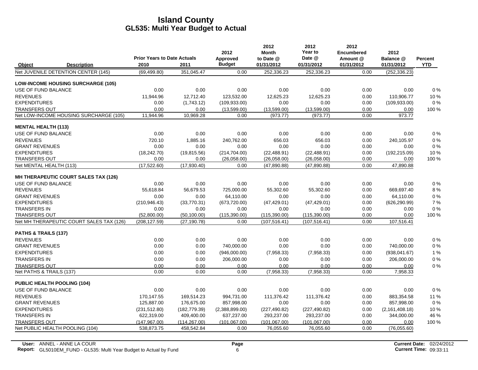|                                    |                                           |                                            |               | 2012                      | 2012<br><b>Month</b>    | 2012<br>Year to      | 2012<br><b>Encumbered</b> | 2012                    |                              |
|------------------------------------|-------------------------------------------|--------------------------------------------|---------------|---------------------------|-------------------------|----------------------|---------------------------|-------------------------|------------------------------|
| Object                             | <b>Description</b>                        | <b>Prior Years to Date Actuals</b><br>2010 | 2011          | Approved<br><b>Budget</b> | to Date @<br>01/31/2012 | Date @<br>01/31/2012 | Amount @<br>01/31/2012    | Balance @<br>01/31/2012 | <b>Percent</b><br><b>YTD</b> |
|                                    | Net JUVENILE DETENTION CENTER (145)       | (69, 499.80)                               | 351,045.47    | 0.00                      | 252,336.23              | 252,336.23           | 0.00                      | (252, 336.23)           |                              |
|                                    | <b>LOW-INCOME HOUSING SURCHARGE (105)</b> |                                            |               |                           |                         |                      |                           |                         |                              |
| USE OF FUND BALANCE                |                                           | 0.00                                       | 0.00          | 0.00                      | 0.00                    | 0.00                 | 0.00                      | 0.00                    | 0%                           |
| <b>REVENUES</b>                    |                                           | 11,944.96                                  | 12,712.40     | 123.532.00                | 12,625.23               | 12,625.23            | 0.00                      | 110,906.77              | 10%                          |
| <b>EXPENDITURES</b>                |                                           | 0.00                                       | (1,743.12)    | (109, 933.00)             | 0.00                    | 0.00                 | 0.00                      | (109, 933.00)           | $0\%$                        |
| <b>TRANSFERS OUT</b>               |                                           | 0.00                                       | 0.00          | (13,599.00)               | (13,599.00)             | (13,599.00)          | 0.00                      | 0.00                    | 100 %                        |
|                                    | Net LOW-INCOME HOUSING SURCHARGE (105)    | 11,944.96                                  | 10,969.28     | 0.00                      | (973.77)                | (973.77)             | 0.00                      | 973.77                  |                              |
| <b>MENTAL HEALTH (113)</b>         |                                           |                                            |               |                           |                         |                      |                           |                         |                              |
| USE OF FUND BALANCE                |                                           | 0.00                                       | 0.00          | 0.00                      | 0.00                    | 0.00                 | 0.00                      | 0.00                    | 0%                           |
| <b>REVENUES</b>                    |                                           | 720.10                                     | 1.885.16      | 240.762.00                | 656.03                  | 656.03               | 0.00                      | 240.105.97              | 0%                           |
| <b>GRANT REVENUES</b>              |                                           | 0.00                                       | 0.00          | 0.00                      | 0.00                    | 0.00                 | 0.00                      | 0.00                    | $0\%$                        |
| <b>EXPENDITURES</b>                |                                           | (18, 242.70)                               | (19, 815.56)  | (214, 704.00)             | (22, 488.91)            | (22, 488.91)         | 0.00                      | (192, 215.09)           | 10%                          |
| <b>TRANSFERS OUT</b>               |                                           | 0.00                                       | 0.00          | (26,058.00)               | (26,058.00)             | (26,058.00)          | 0.00                      | 0.00                    | 100 %                        |
| Net MENTAL HEALTH (113)            |                                           | (17,522.60)                                | (17,930.40)   | 0.00                      | (47,890.88)             | (47,890.88)          | 0.00                      | 47,890.88               |                              |
|                                    | MH THERAPEUTIC COURT SALES TAX (126)      |                                            |               |                           |                         |                      |                           |                         |                              |
| USE OF FUND BALANCE                |                                           | 0.00                                       | 0.00          | 0.00                      | 0.00                    | 0.00                 | 0.00                      | 0.00                    | 0%                           |
| <b>REVENUES</b>                    |                                           | 55,618.84                                  | 56,679.53     | 725,000.00                | 55,302.60               | 55,302.60            | 0.00                      | 669,697.40              | 8%                           |
| <b>GRANT REVENUES</b>              |                                           | 0.00                                       | 0.00          | 64,110.00                 | 0.00                    | 0.00                 | 0.00                      | 64,110.00               | 0%                           |
| <b>EXPENDITURES</b>                |                                           | (210, 946.43)                              | (33,770.31)   | (673, 720.00)             | (47, 429.01)            | (47, 429.01)         | 0.00                      | (626, 290.99)           | 7%                           |
| <b>TRANSFERS IN</b>                |                                           | 0.00                                       | 0.00          | 0.00                      | 0.00                    | 0.00                 | 0.00                      | 0.00                    | 0%                           |
| <b>TRANSFERS OUT</b>               |                                           | (52,800.00)                                | (50, 100.00)  | (115,390.00)              | (115, 390.00)           | (115, 390.00)        | 0.00                      | 0.00                    | 100 %                        |
|                                    | Net MH THERAPEUTIC COURT SALES TAX (126)  | (208, 127.59)                              | (27, 190.78)  | 0.00                      | (107, 516.41)           | (107, 516.41)        | 0.00                      | 107,516.41              |                              |
| PATHS & TRAILS (137)               |                                           |                                            |               |                           |                         |                      |                           |                         |                              |
| <b>REVENUES</b>                    |                                           | 0.00                                       | 0.00          | 0.00                      | 0.00                    | 0.00                 | 0.00                      | 0.00                    | 0%                           |
| <b>GRANT REVENUES</b>              |                                           | 0.00                                       | 0.00          | 740,000.00                | 0.00                    | 0.00                 | 0.00                      | 740,000.00              | 0%                           |
| <b>EXPENDITURES</b>                |                                           | 0.00                                       | 0.00          | (946,000.00)              | (7,958.33)              | (7,958.33)           | 0.00                      | (938,041.67)            | 1%                           |
| <b>TRANSFERS IN</b>                |                                           | 0.00                                       | 0.00          | 206,000.00                | 0.00                    | 0.00                 | 0.00                      | 206,000.00              | 0%                           |
| <b>TRANSFERS OUT</b>               |                                           | 0.00                                       | 0.00          | 0.00                      | 0.00                    | 0.00                 | 0.00                      | 0.00                    | 0%                           |
| Net PATHS & TRAILS (137)           |                                           | 0.00                                       | 0.00          | 0.00                      | (7,958.33)              | (7,958.33)           | 0.00                      | 7,958.33                |                              |
| <b>PUBLIC HEALTH POOLING (104)</b> |                                           |                                            |               |                           |                         |                      |                           |                         |                              |
| USE OF FUND BALANCE                |                                           | 0.00                                       | 0.00          | 0.00                      | 0.00                    | 0.00                 | 0.00                      | 0.00                    | 0%                           |
| <b>REVENUES</b>                    |                                           | 170,147.55                                 | 169,514.23    | 994,731.00                | 111,376.42              | 111,376.42           | 0.00                      | 883,354.58              | 11 %                         |
| <b>GRANT REVENUES</b>              |                                           | 125,887.00                                 | 176,675.00    | 857,998.00                | 0.00                    | 0.00                 | 0.00                      | 857,998.00              | $0\%$                        |
| <b>EXPENDITURES</b>                |                                           | (231, 512.80)                              | (182, 779.39) | (2,388,899.00)            | (227, 490.82)           | (227, 490.82)        | 0.00                      | (2, 161, 408.18)        | 10%                          |
| <b>TRANSFERS IN</b>                |                                           | 622,319.00                                 | 409,400.00    | 637,237.00                | 293,237.00              | 293,237.00           | 0.00                      | 344,000.00              | 46 %                         |
| <b>TRANSFERS OUT</b>               |                                           | (147, 967.00)                              | (114, 267.00) | (101, 067, 00)            | (101, 067.00)           | (101, 067.00)        | 0.00                      | 0.00                    | 100 %                        |
|                                    | Net PUBLIC HEALTH POOLING (104)           | 538,873.75                                 | 458,542.84    | 0.00                      | 76,055.60               | 76,055.60            | 0.00                      | (76,055.60)             |                              |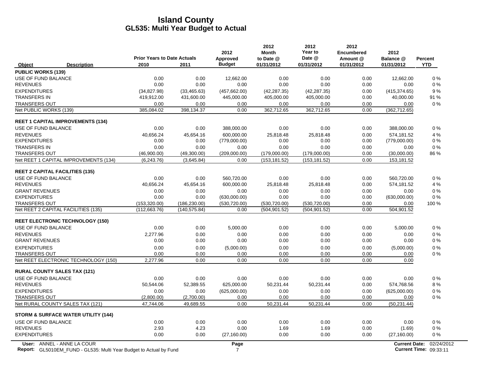|                                                                                                         | <b>Prior Years to Date Actuals</b> |               | 2012<br><b>Approved</b> | 2012<br><b>Month</b><br>to Date @ | 2012<br>Year to<br>Date @ | 2012<br><b>Encumbered</b><br>Amount @ | 2012<br>Balance @        | <b>Percent</b>                       |
|---------------------------------------------------------------------------------------------------------|------------------------------------|---------------|-------------------------|-----------------------------------|---------------------------|---------------------------------------|--------------------------|--------------------------------------|
| Object<br><b>Description</b>                                                                            | 2010<br>2011                       |               | <b>Budget</b>           | 01/31/2012                        | 01/31/2012                | 01/31/2012                            | 01/31/2012               | <b>YTD</b>                           |
| <b>PUBLIC WORKS (139)</b>                                                                               |                                    |               |                         |                                   |                           |                                       |                          |                                      |
| <b>USE OF FUND BALANCE</b>                                                                              | 0.00                               | 0.00          | 12,662.00               | 0.00                              | 0.00                      | 0.00                                  | 12,662.00                | 0%                                   |
| <b>REVENUES</b>                                                                                         | 0.00                               | 0.00          | 0.00                    | 0.00                              | 0.00                      | 0.00                                  | 0.00                     | 0%                                   |
| <b>EXPENDITURES</b>                                                                                     | (34, 827.98)                       | (33, 465.63)  | (457, 662.00)           | (42, 287.35)                      | (42, 287.35)              | 0.00                                  | (415, 374.65)            | 9%                                   |
| <b>TRANSFERS IN</b>                                                                                     | 419,912.00                         | 431,600.00    | 445,000.00              | 405,000.00                        | 405,000.00                | 0.00                                  | 40,000.00                | 91 %                                 |
| <b>TRANSFERS OUT</b>                                                                                    | 0.00                               | 0.00          | 0.00                    | 0.00                              | 0.00                      | 0.00                                  | 0.00                     | 0%                                   |
| Net PUBLIC WORKS (139)                                                                                  | 385,084.02                         | 398,134.37    | 0.00                    | 362,712.65                        | 362,712.65                | 0.00                                  | (362, 712.65)            |                                      |
| <b>REET 1 CAPITAL IMPROVEMENTS (134)</b>                                                                |                                    |               |                         |                                   |                           |                                       |                          |                                      |
| USE OF FUND BALANCE                                                                                     | 0.00                               | 0.00          | 388,000.00              | 0.00                              | 0.00                      | 0.00                                  | 388,000.00               | $0\%$                                |
| <b>REVENUES</b>                                                                                         | 40,656.24                          | 45,654.16     | 600,000.00              | 25,818.48                         | 25,818.48                 | 0.00                                  | 574,181.52               | 4 %                                  |
| <b>EXPENDITURES</b>                                                                                     | 0.00                               | 0.00          | (779,000.00)            | 0.00                              | 0.00                      | 0.00                                  | (779,000.00)             | 0%                                   |
| <b>TRANSFERS IN</b>                                                                                     | 0.00                               | 0.00          | 0.00                    | 0.00                              | 0.00                      | 0.00                                  | 0.00                     | 0%                                   |
| <b>TRANSFERS OUT</b>                                                                                    | (46,900.00)                        | (49,300.00)   | (209,000.00)            | (179,000.00)                      | (179,000.00)              | 0.00                                  | (30,000.00)              | 86 %                                 |
| Net REET 1 CAPITAL IMPROVEMENTS (134)                                                                   | (6, 243.76)                        | (3,645.84)    | 0.00                    | (153, 181.52)                     | (153, 181.52)             | 0.00                                  | 153,181.52               |                                      |
|                                                                                                         |                                    |               |                         |                                   |                           |                                       |                          |                                      |
| <b>REET 2 CAPITAL FACILITIES (135)</b>                                                                  | 0.00                               | 0.00          | 560,720.00              | 0.00                              | 0.00                      | 0.00                                  |                          | 0%                                   |
| USE OF FUND BALANCE<br><b>REVENUES</b>                                                                  | 40,656.24                          | 45,654.16     | 600,000.00              | 25,818.48                         | 25,818.48                 | 0.00                                  | 560,720.00<br>574,181.52 | 4 %                                  |
| <b>GRANT REVENUES</b>                                                                                   | 0.00                               | 0.00          | 0.00                    | 0.00                              | 0.00                      | 0.00                                  | 0.00                     | 0%                                   |
| <b>EXPENDITURES</b>                                                                                     | 0.00                               | 0.00          | (630,000.00)            | 0.00                              | 0.00                      | 0.00                                  | (630,000.00)             | 0%                                   |
| <b>TRANSFERS OUT</b>                                                                                    | (153, 320.00)                      | (186, 230.00) | (530, 720.00)           | (530, 720.00)                     | (530, 720.00)             | 0.00                                  | 0.00                     | 100 %                                |
| Net REET 2 CAPITAL FACILITIES (135)                                                                     | (112, 663.76)                      | (140, 575.84) | 0.00                    | (504, 901.52)                     | (504, 901.52)             | 0.00                                  | 504,901.52               |                                      |
|                                                                                                         |                                    |               |                         |                                   |                           |                                       |                          |                                      |
| <b>REET ELECTRONIC TECHNOLOGY (150)</b><br>USE OF FUND BALANCE                                          | 0.00                               | 0.00          |                         | 0.00                              | 0.00                      | 0.00                                  |                          | $0\%$                                |
| <b>REVENUES</b>                                                                                         |                                    | 0.00          | 5,000.00<br>0.00        | 0.00                              | 0.00                      |                                       | 5,000.00                 | $0\%$                                |
| <b>GRANT REVENUES</b>                                                                                   | 2,277.96<br>0.00                   | 0.00          | 0.00                    | 0.00                              | 0.00                      | 0.00<br>0.00                          | 0.00<br>0.00             | $0\%$                                |
| <b>EXPENDITURES</b>                                                                                     | 0.00                               | 0.00          | (5,000.00)              | 0.00                              | 0.00                      | 0.00                                  | (5,000.00)               | $0\%$                                |
| <b>TRANSFERS OUT</b>                                                                                    | 0.00                               | 0.00          | 0.00                    | 0.00                              | 0.00                      | 0.00                                  | 0.00                     | $0\%$                                |
| Net REET ELECTRONIC TECHNOLOGY (150)                                                                    | 2,277.96                           | 0.00          | 0.00                    | 0.00                              | 0.00                      | 0.00                                  | 0.00                     |                                      |
|                                                                                                         |                                    |               |                         |                                   |                           |                                       |                          |                                      |
| <b>RURAL COUNTY SALES TAX (121)</b>                                                                     |                                    |               |                         |                                   |                           |                                       |                          |                                      |
| USE OF FUND BALANCE                                                                                     | 0.00                               | 0.00          | 0.00                    | 0.00                              | 0.00                      | 0.00                                  | 0.00                     | $0\%$                                |
| <b>REVENUES</b>                                                                                         | 50,544.06                          | 52,389.55     | 625,000.00              | 50,231.44                         | 50,231.44                 | 0.00                                  | 574,768.56               | 8%                                   |
| <b>EXPENDITURES</b>                                                                                     | 0.00                               | 0.00          | (625,000.00)            | 0.00                              | 0.00                      | 0.00                                  | (625,000.00)             | $0\%$                                |
| <b>TRANSFERS OUT</b>                                                                                    | (2,800.00)                         | (2,700.00)    | 0.00                    | 0.00                              | 0.00                      | 0.00                                  | 0.00                     | $0\%$                                |
| Net RURAL COUNTY SALES TAX (121)                                                                        | 47,744.06                          | 49,689.55     | 0.00                    | 50,231.44                         | 50,231.44                 | 0.00                                  | (50, 231.44)             |                                      |
| <b>STORM &amp; SURFACE WATER UTILITY (144)</b>                                                          |                                    |               |                         |                                   |                           |                                       |                          |                                      |
| USE OF FUND BALANCE                                                                                     | 0.00                               | 0.00          | 0.00                    | 0.00                              | 0.00                      | 0.00                                  | 0.00                     | $0\%$                                |
| <b>REVENUES</b>                                                                                         | 2.93                               | 4.23          | 0.00                    | 1.69                              | 1.69                      | 0.00                                  | (1.69)                   | $0\%$                                |
| <b>EXPENDITURES</b>                                                                                     | 0.00                               | 0.00          | (27, 160.00)            | 0.00                              | 0.00                      | 0.00                                  | (27, 160.00)             | $0\%$                                |
| User: ANNEL - ANNE LA COUR<br><b>Report:</b> GL5010EM_FUND - GL535: Multi Year Budget to Actual by Fund |                                    |               | Page<br>7               |                                   |                           |                                       | <b>Current Date:</b>     | 02/24/2012<br>Current Time: 09:33:11 |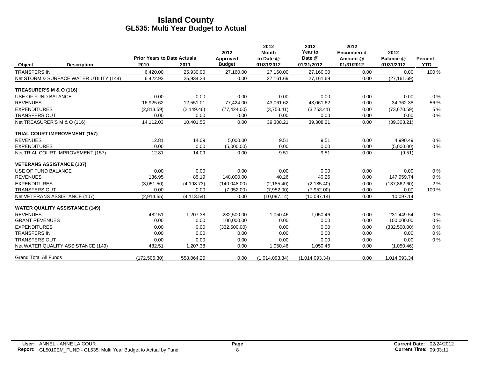|                               |                                         | <b>Prior Years to Date Actuals</b> |             | 2012<br>Approved<br><b>Budget</b> | 2012<br><b>Month</b><br>to Date @ | 2012<br>Year to<br>Date @ | 2012<br><b>Encumbered</b><br>Amount @ | 2012<br>Balance @ | <b>Percent</b> |
|-------------------------------|-----------------------------------------|------------------------------------|-------------|-----------------------------------|-----------------------------------|---------------------------|---------------------------------------|-------------------|----------------|
| Object<br><b>TRANSFERS IN</b> | <b>Description</b>                      | 2010<br>6,420.00                   | 2011        |                                   | 01/31/2012                        | 01/31/2012                | 01/31/2012                            | 01/31/2012        | <b>YTD</b>     |
|                               |                                         |                                    | 25,930.00   | 27,160.00                         | 27,160.00                         | 27,160.00                 | 0.00                                  | 0.00              | 100 %          |
|                               | Net STORM & SURFACE WATER UTILITY (144) | 6,422.93                           | 25,934.23   | 0.00                              | 27,161.69                         | 27,161.69                 | 0.00                                  | (27, 161.69)      |                |
| TREASURER'S M & O (116)       |                                         |                                    |             |                                   |                                   |                           |                                       |                   |                |
| USE OF FUND BALANCE           |                                         | 0.00                               | 0.00        | 0.00                              | 0.00                              | 0.00                      | 0.00                                  | 0.00              | 0%             |
| <b>REVENUES</b>               |                                         | 16,925.62                          | 12,551.01   | 77,424.00                         | 43,061.62                         | 43,061.62                 | 0.00                                  | 34,362.38         | 56 %           |
| <b>EXPENDITURES</b>           |                                         | (2,813.59)                         | (2, 149.46) | (77, 424.00)                      | (3,753.41)                        | (3,753.41)                | 0.00                                  | (73,670.59)       | 5 %            |
| <b>TRANSFERS OUT</b>          |                                         | 0.00                               | 0.00        | 0.00                              | 0.00                              | 0.00                      | 0.00                                  | 0.00              | 0%             |
|                               | Net TREASURER'S M & O (116)             | 14,112.03                          | 10,401.55   | 0.00                              | 39,308.21                         | 39,308.21                 | 0.00                                  | (39, 308.21)      |                |
|                               | <b>TRIAL COURT IMPROVEMENT (157)</b>    |                                    |             |                                   |                                   |                           |                                       |                   |                |
| <b>REVENUES</b>               |                                         | 12.81                              | 14.09       | 5,000.00                          | 9.51                              | 9.51                      | 0.00                                  | 4,990.49          | $0\%$          |
| <b>EXPENDITURES</b>           |                                         | 0.00                               | 0.00        | (5,000.00)                        | 0.00                              | 0.00                      | 0.00                                  | (5,000.00)        | 0%             |
|                               | Net TRIAL COURT IMPROVEMENT (157)       | 12.81                              | 14.09       | 0.00                              | 9.51                              | 9.51                      | 0.00                                  | (9.51)            |                |
|                               | <b>VETERANS ASSISTANCE (107)</b>        |                                    |             |                                   |                                   |                           |                                       |                   |                |
| USE OF FUND BALANCE           |                                         | 0.00                               | 0.00        | 0.00                              | 0.00                              | 0.00                      | 0.00                                  | 0.00              | 0%             |
| <b>REVENUES</b>               |                                         | 136.95                             | 85.19       | 148,000.00                        | 40.26                             | 40.26                     | 0.00                                  | 147,959.74        | 0%             |
| <b>EXPENDITURES</b>           |                                         | (3,051.50)                         | (4, 198.73) | (140, 048.00)                     | (2, 185.40)                       | (2, 185.40)               | 0.00                                  | (137, 862.60)     | 2%             |
| <b>TRANSFERS OUT</b>          |                                         | 0.00                               | 0.00        | (7,952.00)                        | (7,952.00)                        | (7,952.00)                | 0.00                                  | 0.00              | 100 %          |
|                               | Net VETERANS ASSISTANCE (107)           | (2,914.55)                         | (4, 113.54) | 0.00                              | (10.097.14)                       | (10.097.14)               | 0.00                                  | 10,097.14         |                |
|                               | <b>WATER QUALITY ASSISTANCE (149)</b>   |                                    |             |                                   |                                   |                           |                                       |                   |                |
| <b>REVENUES</b>               |                                         | 482.51                             | 1,207.38    | 232,500.00                        | 1,050.46                          | 1,050.46                  | 0.00                                  | 231,449.54        | 0%             |
| <b>GRANT REVENUES</b>         |                                         | 0.00                               | 0.00        | 100,000.00                        | 0.00                              | 0.00                      | 0.00                                  | 100,000.00        | 0%             |
| <b>EXPENDITURES</b>           |                                         | 0.00                               | 0.00        | (332, 500.00)                     | 0.00                              | 0.00                      | 0.00                                  | (332, 500.00)     | 0%             |
| <b>TRANSFERS IN</b>           |                                         | 0.00                               | 0.00        | 0.00                              | 0.00                              | 0.00                      | 0.00                                  | 0.00              | 0%             |
| <b>TRANSFERS OUT</b>          |                                         | 0.00                               | 0.00        | 0.00                              | 0.00                              | 0.00                      | 0.00                                  | 0.00              | 0%             |
|                               | Net WATER QUALITY ASSISTANCE (149)      | 482.51                             | 1,207.38    | 0.00                              | 1,050.46                          | 1,050.46                  | 0.00                                  | (1,050.46)        |                |
| <b>Grand Total All Funds</b>  |                                         | (172, 506.30)                      | 558,064.25  | 0.00                              | (1,014,093.34)                    | (1,014,093.34)            | 0.00                                  | 1,014,093.34      |                |